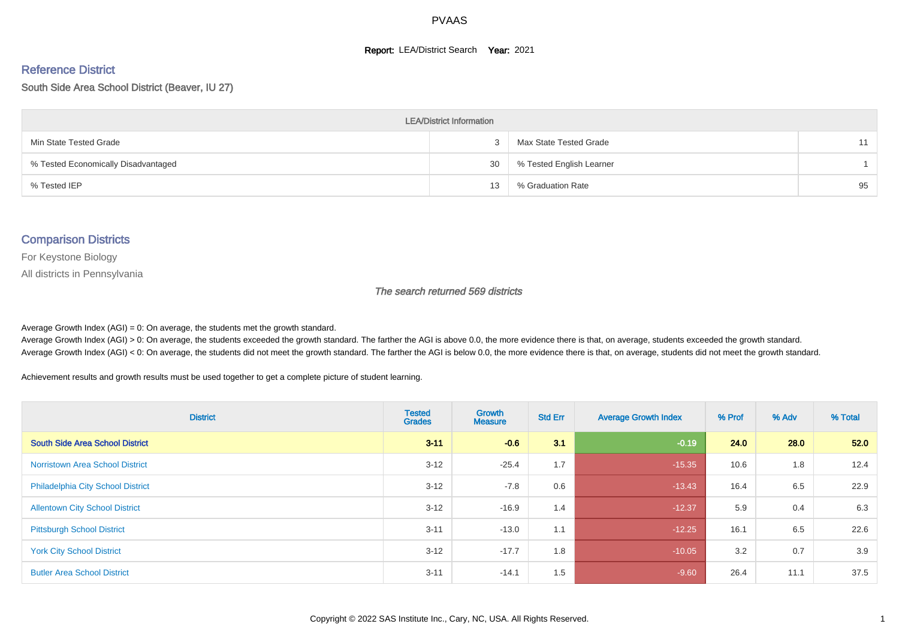#### **Report: LEA/District Search Year: 2021**

#### Reference District

South Side Area School District (Beaver, IU 27)

| <b>LEA/District Information</b>     |    |                          |    |  |  |  |  |  |  |  |
|-------------------------------------|----|--------------------------|----|--|--|--|--|--|--|--|
| Min State Tested Grade              |    | Max State Tested Grade   | 11 |  |  |  |  |  |  |  |
| % Tested Economically Disadvantaged | 30 | % Tested English Learner |    |  |  |  |  |  |  |  |
| % Tested IEP                        | 13 | % Graduation Rate        | 95 |  |  |  |  |  |  |  |

#### Comparison Districts

For Keystone Biology

All districts in Pennsylvania

The search returned 569 districts

Average Growth Index  $(AGI) = 0$ : On average, the students met the growth standard.

Average Growth Index (AGI) > 0: On average, the students exceeded the growth standard. The farther the AGI is above 0.0, the more evidence there is that, on average, students exceeded the growth standard. Average Growth Index (AGI) < 0: On average, the students did not meet the growth standard. The farther the AGI is below 0.0, the more evidence there is that, on average, students did not meet the growth standard.

Achievement results and growth results must be used together to get a complete picture of student learning.

| <b>District</b>                          | <b>Tested</b><br><b>Grades</b> | <b>Growth</b><br><b>Measure</b> | <b>Std Err</b> | <b>Average Growth Index</b> | % Prof | % Adv | % Total |
|------------------------------------------|--------------------------------|---------------------------------|----------------|-----------------------------|--------|-------|---------|
| <b>South Side Area School District</b>   | $3 - 11$                       | $-0.6$                          | 3.1            | $-0.19$                     | 24.0   | 28.0  | 52.0    |
| <b>Norristown Area School District</b>   | $3 - 12$                       | $-25.4$                         | 1.7            | $-15.35$                    | 10.6   | 1.8   | 12.4    |
| <b>Philadelphia City School District</b> | $3 - 12$                       | $-7.8$                          | 0.6            | $-13.43$                    | 16.4   | 6.5   | 22.9    |
| <b>Allentown City School District</b>    | $3 - 12$                       | $-16.9$                         | 1.4            | $-12.37$                    | 5.9    | 0.4   | 6.3     |
| <b>Pittsburgh School District</b>        | $3 - 11$                       | $-13.0$                         | 1.1            | $-12.25$                    | 16.1   | 6.5   | 22.6    |
| <b>York City School District</b>         | $3 - 12$                       | $-17.7$                         | 1.8            | $-10.05$                    | 3.2    | 0.7   | 3.9     |
| <b>Butler Area School District</b>       | $3 - 11$                       | $-14.1$                         | 1.5            | $-9.60$                     | 26.4   | 11.1  | 37.5    |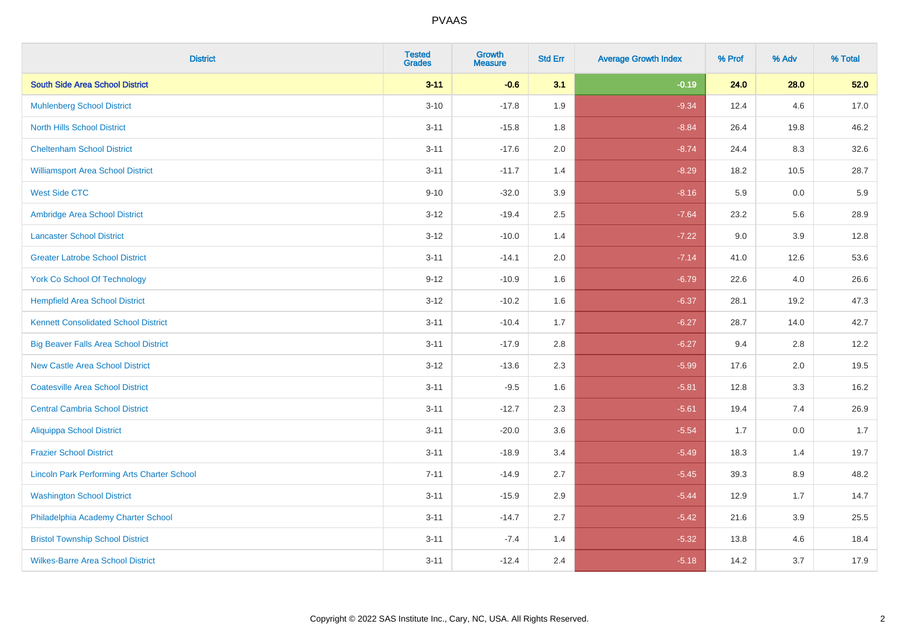| <b>District</b>                                    | <b>Tested</b><br><b>Grades</b> | <b>Growth</b><br><b>Measure</b> | <b>Std Err</b> | <b>Average Growth Index</b> | % Prof | % Adv   | % Total |
|----------------------------------------------------|--------------------------------|---------------------------------|----------------|-----------------------------|--------|---------|---------|
| <b>South Side Area School District</b>             | $3 - 11$                       | $-0.6$                          | 3.1            | $-0.19$                     | 24.0   | 28.0    | 52.0    |
| <b>Muhlenberg School District</b>                  | $3 - 10$                       | $-17.8$                         | 1.9            | $-9.34$                     | 12.4   | 4.6     | 17.0    |
| <b>North Hills School District</b>                 | $3 - 11$                       | $-15.8$                         | 1.8            | $-8.84$                     | 26.4   | 19.8    | 46.2    |
| <b>Cheltenham School District</b>                  | $3 - 11$                       | $-17.6$                         | 2.0            | $-8.74$                     | 24.4   | 8.3     | 32.6    |
| <b>Williamsport Area School District</b>           | $3 - 11$                       | $-11.7$                         | 1.4            | $-8.29$                     | 18.2   | 10.5    | 28.7    |
| <b>West Side CTC</b>                               | $9 - 10$                       | $-32.0$                         | 3.9            | $-8.16$                     | 5.9    | 0.0     | 5.9     |
| Ambridge Area School District                      | $3 - 12$                       | $-19.4$                         | 2.5            | $-7.64$                     | 23.2   | 5.6     | 28.9    |
| <b>Lancaster School District</b>                   | $3 - 12$                       | $-10.0$                         | 1.4            | $-7.22$                     | 9.0    | 3.9     | 12.8    |
| <b>Greater Latrobe School District</b>             | $3 - 11$                       | $-14.1$                         | 2.0            | $-7.14$                     | 41.0   | 12.6    | 53.6    |
| <b>York Co School Of Technology</b>                | $9 - 12$                       | $-10.9$                         | 1.6            | $-6.79$                     | 22.6   | 4.0     | 26.6    |
| <b>Hempfield Area School District</b>              | $3 - 12$                       | $-10.2$                         | 1.6            | $-6.37$                     | 28.1   | 19.2    | 47.3    |
| <b>Kennett Consolidated School District</b>        | $3 - 11$                       | $-10.4$                         | 1.7            | $-6.27$                     | 28.7   | 14.0    | 42.7    |
| <b>Big Beaver Falls Area School District</b>       | $3 - 11$                       | $-17.9$                         | 2.8            | $-6.27$                     | 9.4    | 2.8     | 12.2    |
| <b>New Castle Area School District</b>             | $3 - 12$                       | $-13.6$                         | 2.3            | $-5.99$                     | 17.6   | 2.0     | 19.5    |
| <b>Coatesville Area School District</b>            | $3 - 11$                       | $-9.5$                          | 1.6            | $-5.81$                     | 12.8   | 3.3     | 16.2    |
| <b>Central Cambria School District</b>             | $3 - 11$                       | $-12.7$                         | 2.3            | $-5.61$                     | 19.4   | 7.4     | 26.9    |
| <b>Aliquippa School District</b>                   | $3 - 11$                       | $-20.0$                         | 3.6            | $-5.54$                     | 1.7    | 0.0     | 1.7     |
| <b>Frazier School District</b>                     | $3 - 11$                       | $-18.9$                         | 3.4            | $-5.49$                     | 18.3   | 1.4     | 19.7    |
| <b>Lincoln Park Performing Arts Charter School</b> | $7 - 11$                       | $-14.9$                         | 2.7            | $-5.45$                     | 39.3   | 8.9     | 48.2    |
| <b>Washington School District</b>                  | $3 - 11$                       | $-15.9$                         | 2.9            | $-5.44$                     | 12.9   | 1.7     | 14.7    |
| Philadelphia Academy Charter School                | $3 - 11$                       | $-14.7$                         | 2.7            | $-5.42$                     | 21.6   | $3.9\,$ | 25.5    |
| <b>Bristol Township School District</b>            | $3 - 11$                       | $-7.4$                          | 1.4            | $-5.32$                     | 13.8   | 4.6     | 18.4    |
| <b>Wilkes-Barre Area School District</b>           | $3 - 11$                       | $-12.4$                         | 2.4            | $-5.18$                     | 14.2   | 3.7     | 17.9    |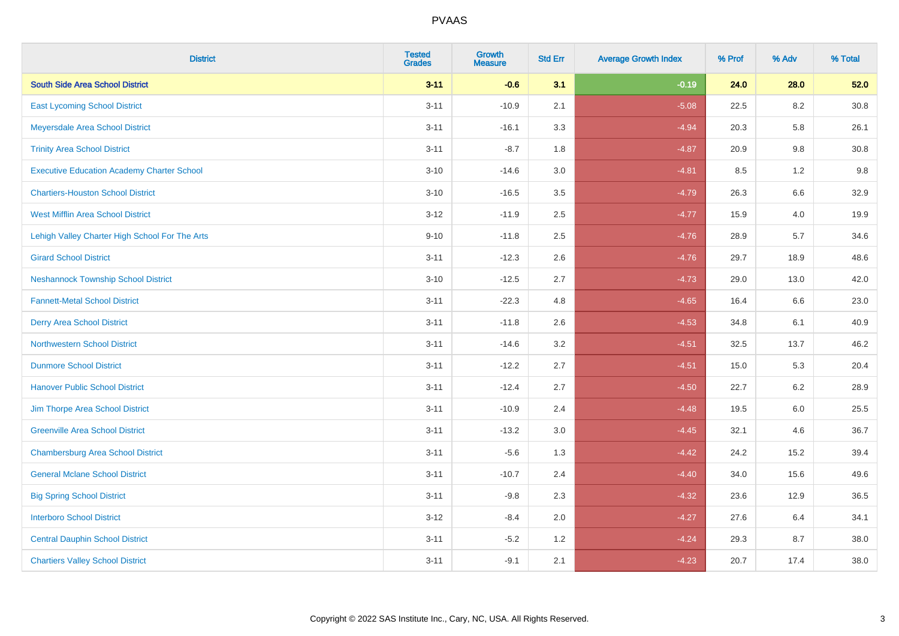| <b>District</b>                                   | <b>Tested</b><br><b>Grades</b> | <b>Growth</b><br><b>Measure</b> | <b>Std Err</b> | <b>Average Growth Index</b> | % Prof | % Adv   | % Total  |
|---------------------------------------------------|--------------------------------|---------------------------------|----------------|-----------------------------|--------|---------|----------|
| <b>South Side Area School District</b>            | $3 - 11$                       | $-0.6$                          | 3.1            | $-0.19$                     | 24.0   | 28.0    | 52.0     |
| <b>East Lycoming School District</b>              | $3 - 11$                       | $-10.9$                         | 2.1            | $-5.08$                     | 22.5   | 8.2     | 30.8     |
| Meyersdale Area School District                   | $3 - 11$                       | $-16.1$                         | 3.3            | $-4.94$                     | 20.3   | 5.8     | 26.1     |
| <b>Trinity Area School District</b>               | $3 - 11$                       | $-8.7$                          | 1.8            | $-4.87$                     | 20.9   | $9.8\,$ | $30.8\,$ |
| <b>Executive Education Academy Charter School</b> | $3 - 10$                       | $-14.6$                         | 3.0            | $-4.81$                     | 8.5    | 1.2     | 9.8      |
| <b>Chartiers-Houston School District</b>          | $3 - 10$                       | $-16.5$                         | 3.5            | $-4.79$                     | 26.3   | $6.6\,$ | 32.9     |
| West Mifflin Area School District                 | $3 - 12$                       | $-11.9$                         | 2.5            | $-4.77$                     | 15.9   | 4.0     | 19.9     |
| Lehigh Valley Charter High School For The Arts    | $9 - 10$                       | $-11.8$                         | 2.5            | $-4.76$                     | 28.9   | 5.7     | 34.6     |
| <b>Girard School District</b>                     | $3 - 11$                       | $-12.3$                         | 2.6            | $-4.76$                     | 29.7   | 18.9    | 48.6     |
| <b>Neshannock Township School District</b>        | $3 - 10$                       | $-12.5$                         | 2.7            | $-4.73$                     | 29.0   | 13.0    | 42.0     |
| <b>Fannett-Metal School District</b>              | $3 - 11$                       | $-22.3$                         | 4.8            | $-4.65$                     | 16.4   | 6.6     | 23.0     |
| <b>Derry Area School District</b>                 | $3 - 11$                       | $-11.8$                         | 2.6            | $-4.53$                     | 34.8   | 6.1     | 40.9     |
| <b>Northwestern School District</b>               | $3 - 11$                       | $-14.6$                         | 3.2            | $-4.51$                     | 32.5   | 13.7    | 46.2     |
| <b>Dunmore School District</b>                    | $3 - 11$                       | $-12.2$                         | 2.7            | $-4.51$                     | 15.0   | 5.3     | 20.4     |
| <b>Hanover Public School District</b>             | $3 - 11$                       | $-12.4$                         | 2.7            | $-4.50$                     | 22.7   | 6.2     | 28.9     |
| Jim Thorpe Area School District                   | $3 - 11$                       | $-10.9$                         | 2.4            | $-4.48$                     | 19.5   | 6.0     | 25.5     |
| <b>Greenville Area School District</b>            | $3 - 11$                       | $-13.2$                         | 3.0            | $-4.45$                     | 32.1   | 4.6     | 36.7     |
| <b>Chambersburg Area School District</b>          | $3 - 11$                       | $-5.6$                          | 1.3            | $-4.42$                     | 24.2   | 15.2    | 39.4     |
| <b>General Mclane School District</b>             | $3 - 11$                       | $-10.7$                         | 2.4            | $-4.40$                     | 34.0   | 15.6    | 49.6     |
| <b>Big Spring School District</b>                 | $3 - 11$                       | $-9.8$                          | 2.3            | $-4.32$                     | 23.6   | 12.9    | 36.5     |
| <b>Interboro School District</b>                  | $3 - 12$                       | $-8.4$                          | 2.0            | $-4.27$                     | 27.6   | 6.4     | 34.1     |
| <b>Central Dauphin School District</b>            | $3 - 11$                       | $-5.2$                          | 1.2            | $-4.24$                     | 29.3   | 8.7     | 38.0     |
| <b>Chartiers Valley School District</b>           | $3 - 11$                       | $-9.1$                          | 2.1            | $-4.23$                     | 20.7   | 17.4    | 38.0     |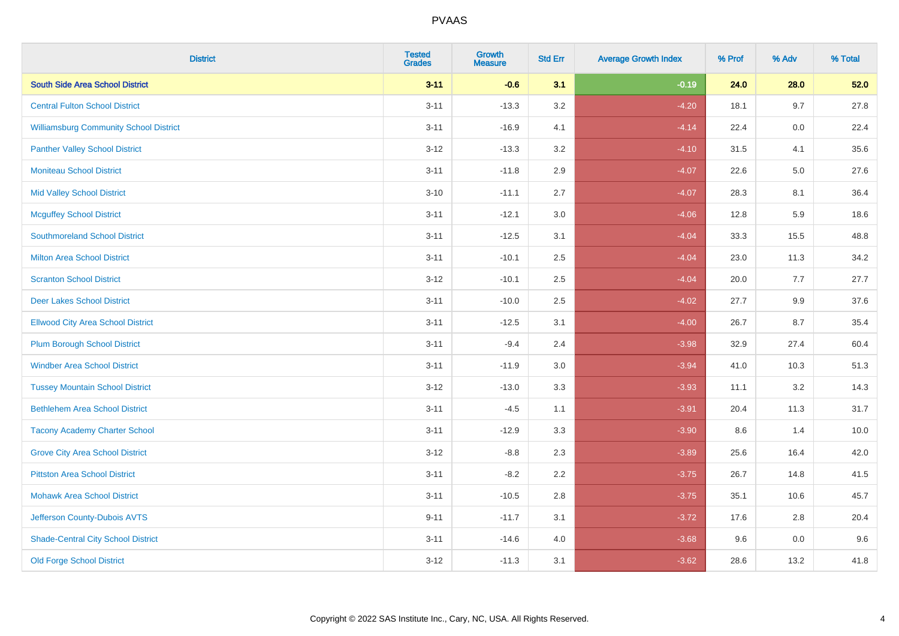| <b>District</b>                               | <b>Tested</b><br><b>Grades</b> | <b>Growth</b><br><b>Measure</b> | <b>Std Err</b> | <b>Average Growth Index</b> | % Prof | % Adv   | % Total |
|-----------------------------------------------|--------------------------------|---------------------------------|----------------|-----------------------------|--------|---------|---------|
| <b>South Side Area School District</b>        | $3 - 11$                       | $-0.6$                          | 3.1            | $-0.19$                     | 24.0   | 28.0    | 52.0    |
| <b>Central Fulton School District</b>         | $3 - 11$                       | $-13.3$                         | 3.2            | $-4.20$                     | 18.1   | 9.7     | 27.8    |
| <b>Williamsburg Community School District</b> | $3 - 11$                       | $-16.9$                         | 4.1            | $-4.14$                     | 22.4   | 0.0     | 22.4    |
| <b>Panther Valley School District</b>         | $3 - 12$                       | $-13.3$                         | 3.2            | $-4.10$                     | 31.5   | 4.1     | 35.6    |
| <b>Moniteau School District</b>               | $3 - 11$                       | $-11.8$                         | 2.9            | $-4.07$                     | 22.6   | 5.0     | 27.6    |
| <b>Mid Valley School District</b>             | $3 - 10$                       | $-11.1$                         | 2.7            | $-4.07$                     | 28.3   | 8.1     | 36.4    |
| <b>Mcguffey School District</b>               | $3 - 11$                       | $-12.1$                         | 3.0            | $-4.06$                     | 12.8   | 5.9     | 18.6    |
| <b>Southmoreland School District</b>          | $3 - 11$                       | $-12.5$                         | 3.1            | $-4.04$                     | 33.3   | 15.5    | 48.8    |
| <b>Milton Area School District</b>            | $3 - 11$                       | $-10.1$                         | 2.5            | $-4.04$                     | 23.0   | 11.3    | 34.2    |
| <b>Scranton School District</b>               | $3 - 12$                       | $-10.1$                         | 2.5            | $-4.04$                     | 20.0   | 7.7     | 27.7    |
| <b>Deer Lakes School District</b>             | $3 - 11$                       | $-10.0$                         | 2.5            | $-4.02$                     | 27.7   | 9.9     | 37.6    |
| <b>Ellwood City Area School District</b>      | $3 - 11$                       | $-12.5$                         | 3.1            | $-4.00$                     | 26.7   | 8.7     | 35.4    |
| <b>Plum Borough School District</b>           | $3 - 11$                       | $-9.4$                          | 2.4            | $-3.98$                     | 32.9   | 27.4    | 60.4    |
| <b>Windber Area School District</b>           | $3 - 11$                       | $-11.9$                         | 3.0            | $-3.94$                     | 41.0   | 10.3    | 51.3    |
| <b>Tussey Mountain School District</b>        | $3 - 12$                       | $-13.0$                         | 3.3            | $-3.93$                     | 11.1   | 3.2     | 14.3    |
| <b>Bethlehem Area School District</b>         | $3 - 11$                       | $-4.5$                          | 1.1            | $-3.91$                     | 20.4   | 11.3    | 31.7    |
| <b>Tacony Academy Charter School</b>          | $3 - 11$                       | $-12.9$                         | 3.3            | $-3.90$                     | 8.6    | 1.4     | 10.0    |
| <b>Grove City Area School District</b>        | $3 - 12$                       | $-8.8$                          | 2.3            | $-3.89$                     | 25.6   | 16.4    | 42.0    |
| <b>Pittston Area School District</b>          | $3 - 11$                       | $-8.2$                          | 2.2            | $-3.75$                     | 26.7   | 14.8    | 41.5    |
| <b>Mohawk Area School District</b>            | $3 - 11$                       | $-10.5$                         | 2.8            | $-3.75$                     | 35.1   | 10.6    | 45.7    |
| Jefferson County-Dubois AVTS                  | $9 - 11$                       | $-11.7$                         | 3.1            | $-3.72$                     | 17.6   | 2.8     | 20.4    |
| <b>Shade-Central City School District</b>     | $3 - 11$                       | $-14.6$                         | 4.0            | $-3.68$                     | 9.6    | $0.0\,$ | 9.6     |
| <b>Old Forge School District</b>              | $3 - 12$                       | $-11.3$                         | 3.1            | $-3.62$                     | 28.6   | 13.2    | 41.8    |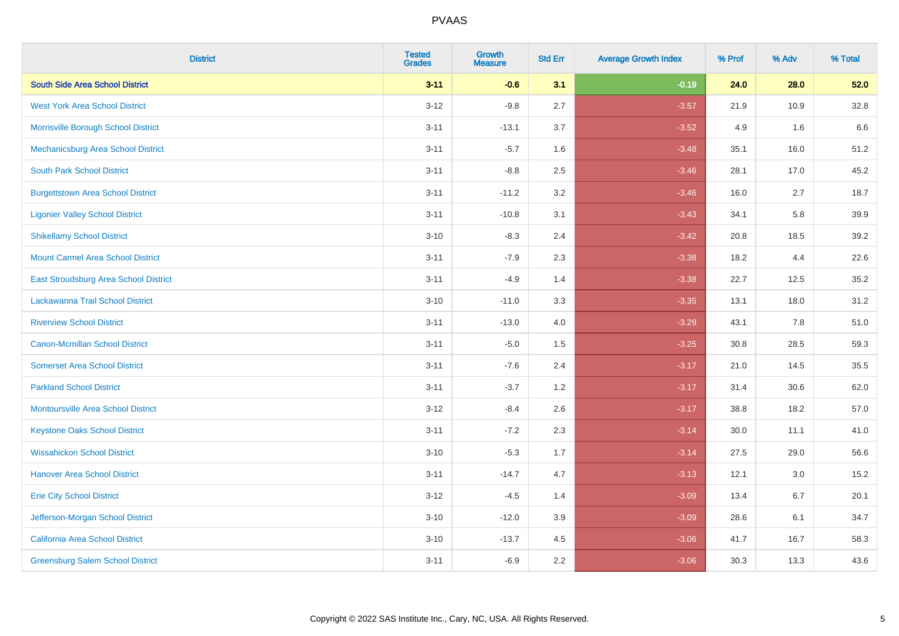| <b>District</b>                              | <b>Tested</b><br><b>Grades</b> | <b>Growth</b><br><b>Measure</b> | <b>Std Err</b> | <b>Average Growth Index</b> | % Prof | % Adv | % Total |
|----------------------------------------------|--------------------------------|---------------------------------|----------------|-----------------------------|--------|-------|---------|
| <b>South Side Area School District</b>       | $3 - 11$                       | $-0.6$                          | 3.1            | $-0.19$                     | 24.0   | 28.0  | 52.0    |
| <b>West York Area School District</b>        | $3 - 12$                       | $-9.8$                          | 2.7            | $-3.57$                     | 21.9   | 10.9  | 32.8    |
| Morrisville Borough School District          | $3 - 11$                       | $-13.1$                         | 3.7            | $-3.52$                     | 4.9    | 1.6   | 6.6     |
| Mechanicsburg Area School District           | $3 - 11$                       | $-5.7$                          | 1.6            | $-3.48$                     | 35.1   | 16.0  | 51.2    |
| <b>South Park School District</b>            | $3 - 11$                       | $-8.8$                          | 2.5            | $-3.46$                     | 28.1   | 17.0  | 45.2    |
| <b>Burgettstown Area School District</b>     | $3 - 11$                       | $-11.2$                         | 3.2            | $-3.46$                     | 16.0   | 2.7   | 18.7    |
| <b>Ligonier Valley School District</b>       | $3 - 11$                       | $-10.8$                         | 3.1            | $-3.43$                     | 34.1   | 5.8   | 39.9    |
| <b>Shikellamy School District</b>            | $3 - 10$                       | $-8.3$                          | 2.4            | $-3.42$                     | 20.8   | 18.5  | 39.2    |
| <b>Mount Carmel Area School District</b>     | $3 - 11$                       | $-7.9$                          | 2.3            | $-3.38$                     | 18.2   | 4.4   | 22.6    |
| <b>East Stroudsburg Area School District</b> | $3 - 11$                       | $-4.9$                          | 1.4            | $-3.38$                     | 22.7   | 12.5  | 35.2    |
| Lackawanna Trail School District             | $3 - 10$                       | $-11.0$                         | 3.3            | $-3.35$                     | 13.1   | 18.0  | 31.2    |
| <b>Riverview School District</b>             | $3 - 11$                       | $-13.0$                         | 4.0            | $-3.29$                     | 43.1   | 7.8   | 51.0    |
| <b>Canon-Mcmillan School District</b>        | $3 - 11$                       | $-5.0$                          | 1.5            | $-3.25$                     | 30.8   | 28.5  | 59.3    |
| <b>Somerset Area School District</b>         | $3 - 11$                       | $-7.6$                          | 2.4            | $-3.17$                     | 21.0   | 14.5  | 35.5    |
| <b>Parkland School District</b>              | $3 - 11$                       | $-3.7$                          | 1.2            | $-3.17$                     | 31.4   | 30.6  | 62.0    |
| <b>Montoursville Area School District</b>    | $3 - 12$                       | $-8.4$                          | 2.6            | $-3.17$                     | 38.8   | 18.2  | 57.0    |
| <b>Keystone Oaks School District</b>         | $3 - 11$                       | $-7.2$                          | 2.3            | $-3.14$                     | 30.0   | 11.1  | 41.0    |
| <b>Wissahickon School District</b>           | $3 - 10$                       | $-5.3$                          | 1.7            | $-3.14$                     | 27.5   | 29.0  | 56.6    |
| <b>Hanover Area School District</b>          | $3 - 11$                       | $-14.7$                         | 4.7            | $-3.13$                     | 12.1   | 3.0   | 15.2    |
| <b>Erie City School District</b>             | $3 - 12$                       | $-4.5$                          | 1.4            | $-3.09$                     | 13.4   | 6.7   | 20.1    |
| Jefferson-Morgan School District             | $3 - 10$                       | $-12.0$                         | 3.9            | $-3.09$                     | 28.6   | 6.1   | 34.7    |
| <b>California Area School District</b>       | $3 - 10$                       | $-13.7$                         | 4.5            | $-3.06$                     | 41.7   | 16.7  | 58.3    |
| <b>Greensburg Salem School District</b>      | $3 - 11$                       | $-6.9$                          | 2.2            | $-3.06$                     | 30.3   | 13.3  | 43.6    |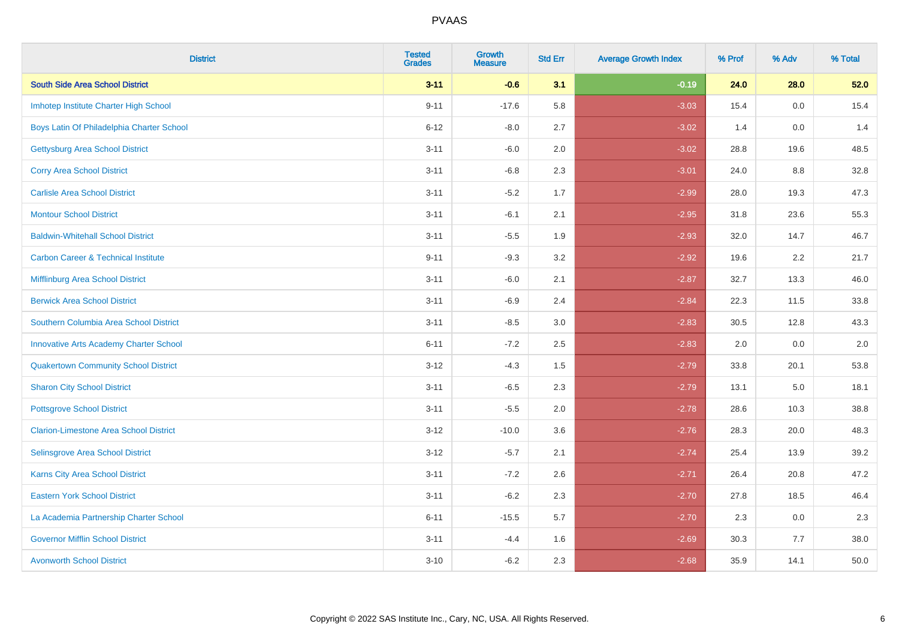| <b>District</b>                                | <b>Tested</b><br><b>Grades</b> | <b>Growth</b><br><b>Measure</b> | <b>Std Err</b> | <b>Average Growth Index</b> | % Prof | % Adv | % Total |
|------------------------------------------------|--------------------------------|---------------------------------|----------------|-----------------------------|--------|-------|---------|
| <b>South Side Area School District</b>         | $3 - 11$                       | $-0.6$                          | 3.1            | $-0.19$                     | 24.0   | 28.0  | 52.0    |
| Imhotep Institute Charter High School          | $9 - 11$                       | $-17.6$                         | 5.8            | $-3.03$                     | 15.4   | 0.0   | 15.4    |
| Boys Latin Of Philadelphia Charter School      | $6 - 12$                       | $-8.0$                          | 2.7            | $-3.02$                     | 1.4    | 0.0   | 1.4     |
| <b>Gettysburg Area School District</b>         | $3 - 11$                       | $-6.0$                          | 2.0            | $-3.02$                     | 28.8   | 19.6  | 48.5    |
| <b>Corry Area School District</b>              | $3 - 11$                       | $-6.8$                          | 2.3            | $-3.01$                     | 24.0   | 8.8   | 32.8    |
| <b>Carlisle Area School District</b>           | $3 - 11$                       | $-5.2$                          | 1.7            | $-2.99$                     | 28.0   | 19.3  | 47.3    |
| <b>Montour School District</b>                 | $3 - 11$                       | $-6.1$                          | 2.1            | $-2.95$                     | 31.8   | 23.6  | 55.3    |
| <b>Baldwin-Whitehall School District</b>       | $3 - 11$                       | $-5.5$                          | 1.9            | $-2.93$                     | 32.0   | 14.7  | 46.7    |
| <b>Carbon Career &amp; Technical Institute</b> | $9 - 11$                       | $-9.3$                          | 3.2            | $-2.92$                     | 19.6   | 2.2   | 21.7    |
| <b>Mifflinburg Area School District</b>        | $3 - 11$                       | $-6.0$                          | 2.1            | $-2.87$                     | 32.7   | 13.3  | 46.0    |
| <b>Berwick Area School District</b>            | $3 - 11$                       | $-6.9$                          | 2.4            | $-2.84$                     | 22.3   | 11.5  | 33.8    |
| Southern Columbia Area School District         | $3 - 11$                       | $-8.5$                          | 3.0            | $-2.83$                     | 30.5   | 12.8  | 43.3    |
| <b>Innovative Arts Academy Charter School</b>  | $6 - 11$                       | $-7.2$                          | 2.5            | $-2.83$                     | 2.0    | 0.0   | $2.0\,$ |
| <b>Quakertown Community School District</b>    | $3 - 12$                       | $-4.3$                          | $1.5$          | $-2.79$                     | 33.8   | 20.1  | 53.8    |
| <b>Sharon City School District</b>             | $3 - 11$                       | $-6.5$                          | 2.3            | $-2.79$                     | 13.1   | 5.0   | 18.1    |
| <b>Pottsgrove School District</b>              | $3 - 11$                       | $-5.5$                          | 2.0            | $-2.78$                     | 28.6   | 10.3  | 38.8    |
| <b>Clarion-Limestone Area School District</b>  | $3 - 12$                       | $-10.0$                         | 3.6            | $-2.76$                     | 28.3   | 20.0  | 48.3    |
| Selinsgrove Area School District               | $3 - 12$                       | $-5.7$                          | 2.1            | $-2.74$                     | 25.4   | 13.9  | 39.2    |
| <b>Karns City Area School District</b>         | $3 - 11$                       | $-7.2$                          | 2.6            | $-2.71$                     | 26.4   | 20.8  | 47.2    |
| <b>Eastern York School District</b>            | $3 - 11$                       | $-6.2$                          | 2.3            | $-2.70$                     | 27.8   | 18.5  | 46.4    |
| La Academia Partnership Charter School         | $6 - 11$                       | $-15.5$                         | 5.7            | $-2.70$                     | 2.3    | 0.0   | 2.3     |
| <b>Governor Mifflin School District</b>        | $3 - 11$                       | $-4.4$                          | 1.6            | $-2.69$                     | 30.3   | 7.7   | 38.0    |
| <b>Avonworth School District</b>               | $3 - 10$                       | $-6.2$                          | 2.3            | $-2.68$                     | 35.9   | 14.1  | 50.0    |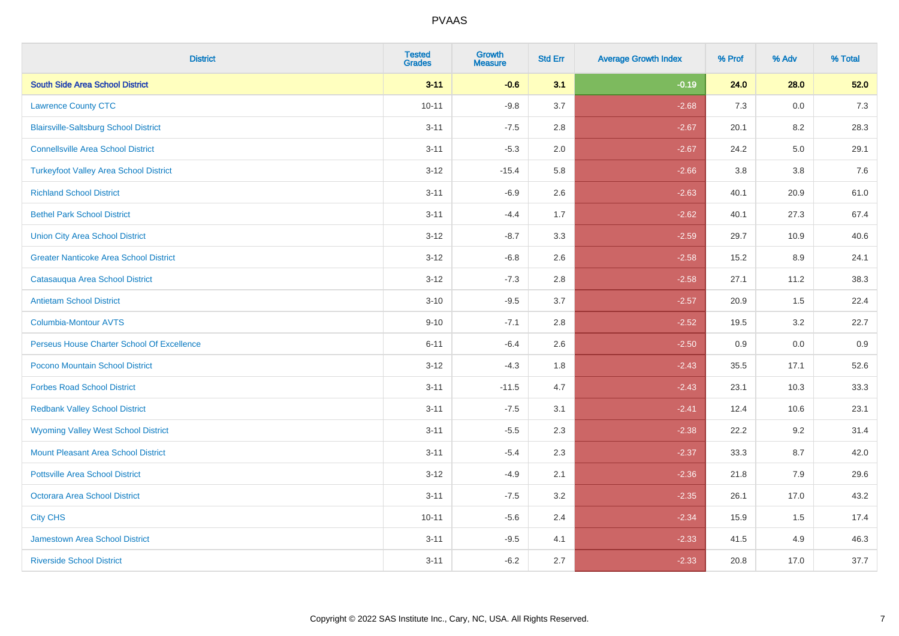| <b>District</b>                               | <b>Tested</b><br><b>Grades</b> | <b>Growth</b><br><b>Measure</b> | <b>Std Err</b> | <b>Average Growth Index</b> | % Prof | % Adv | % Total |
|-----------------------------------------------|--------------------------------|---------------------------------|----------------|-----------------------------|--------|-------|---------|
| <b>South Side Area School District</b>        | $3 - 11$                       | $-0.6$                          | 3.1            | $-0.19$                     | 24.0   | 28.0  | 52.0    |
| <b>Lawrence County CTC</b>                    | $10 - 11$                      | $-9.8$                          | 3.7            | $-2.68$                     | 7.3    | 0.0   | $7.3$   |
| <b>Blairsville-Saltsburg School District</b>  | $3 - 11$                       | $-7.5$                          | 2.8            | $-2.67$                     | 20.1   | 8.2   | 28.3    |
| <b>Connellsville Area School District</b>     | $3 - 11$                       | $-5.3$                          | 2.0            | $-2.67$                     | 24.2   | 5.0   | 29.1    |
| <b>Turkeyfoot Valley Area School District</b> | $3 - 12$                       | $-15.4$                         | 5.8            | $-2.66$                     | 3.8    | 3.8   | 7.6     |
| <b>Richland School District</b>               | $3 - 11$                       | $-6.9$                          | 2.6            | $-2.63$                     | 40.1   | 20.9  | 61.0    |
| <b>Bethel Park School District</b>            | $3 - 11$                       | $-4.4$                          | 1.7            | $-2.62$                     | 40.1   | 27.3  | 67.4    |
| <b>Union City Area School District</b>        | $3 - 12$                       | $-8.7$                          | 3.3            | $-2.59$                     | 29.7   | 10.9  | 40.6    |
| <b>Greater Nanticoke Area School District</b> | $3 - 12$                       | $-6.8$                          | 2.6            | $-2.58$                     | 15.2   | 8.9   | 24.1    |
| Catasauqua Area School District               | $3 - 12$                       | $-7.3$                          | 2.8            | $-2.58$                     | 27.1   | 11.2  | 38.3    |
| <b>Antietam School District</b>               | $3 - 10$                       | $-9.5$                          | 3.7            | $-2.57$                     | 20.9   | 1.5   | 22.4    |
| Columbia-Montour AVTS                         | $9 - 10$                       | $-7.1$                          | 2.8            | $-2.52$                     | 19.5   | 3.2   | 22.7    |
| Perseus House Charter School Of Excellence    | $6 - 11$                       | $-6.4$                          | 2.6            | $-2.50$                     | 0.9    | 0.0   | 0.9     |
| Pocono Mountain School District               | $3 - 12$                       | $-4.3$                          | 1.8            | $-2.43$                     | 35.5   | 17.1  | 52.6    |
| <b>Forbes Road School District</b>            | $3 - 11$                       | $-11.5$                         | 4.7            | $-2.43$                     | 23.1   | 10.3  | 33.3    |
| <b>Redbank Valley School District</b>         | $3 - 11$                       | $-7.5$                          | 3.1            | $-2.41$                     | 12.4   | 10.6  | 23.1    |
| <b>Wyoming Valley West School District</b>    | $3 - 11$                       | $-5.5$                          | 2.3            | $-2.38$                     | 22.2   | 9.2   | 31.4    |
| <b>Mount Pleasant Area School District</b>    | $3 - 11$                       | $-5.4$                          | 2.3            | $-2.37$                     | 33.3   | 8.7   | 42.0    |
| <b>Pottsville Area School District</b>        | $3 - 12$                       | $-4.9$                          | 2.1            | $-2.36$                     | 21.8   | 7.9   | 29.6    |
| Octorara Area School District                 | $3 - 11$                       | $-7.5$                          | 3.2            | $-2.35$                     | 26.1   | 17.0  | 43.2    |
| <b>City CHS</b>                               | $10 - 11$                      | $-5.6$                          | 2.4            | $-2.34$                     | 15.9   | 1.5   | 17.4    |
| <b>Jamestown Area School District</b>         | $3 - 11$                       | $-9.5$                          | 4.1            | $-2.33$                     | 41.5   | 4.9   | 46.3    |
| <b>Riverside School District</b>              | $3 - 11$                       | $-6.2$                          | 2.7            | $-2.33$                     | 20.8   | 17.0  | 37.7    |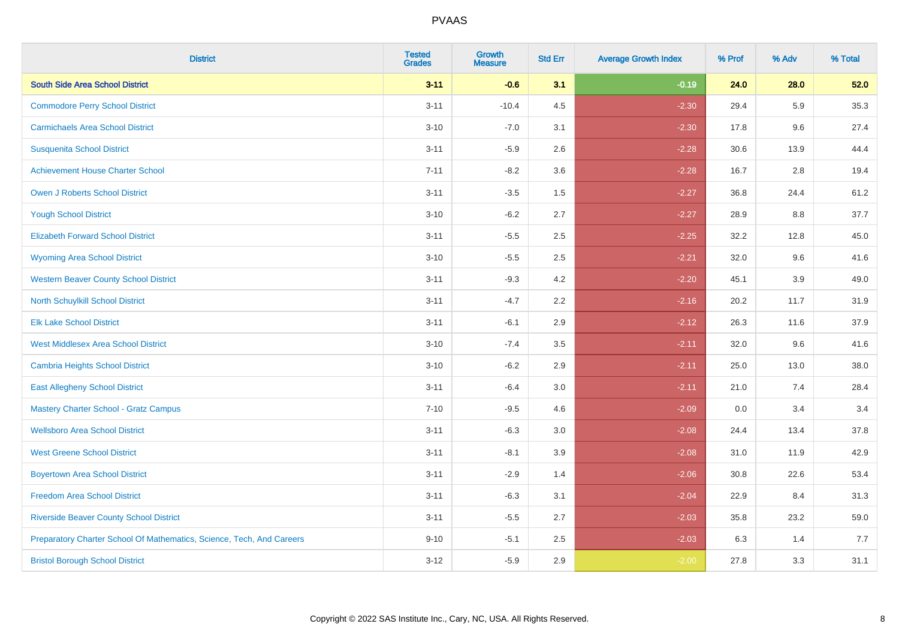| <b>District</b>                                                       | <b>Tested</b><br><b>Grades</b> | <b>Growth</b><br><b>Measure</b> | <b>Std Err</b> | <b>Average Growth Index</b> | % Prof | % Adv   | % Total |
|-----------------------------------------------------------------------|--------------------------------|---------------------------------|----------------|-----------------------------|--------|---------|---------|
| <b>South Side Area School District</b>                                | $3 - 11$                       | $-0.6$                          | 3.1            | $-0.19$                     | 24.0   | 28.0    | 52.0    |
| <b>Commodore Perry School District</b>                                | $3 - 11$                       | $-10.4$                         | 4.5            | $-2.30$                     | 29.4   | 5.9     | 35.3    |
| <b>Carmichaels Area School District</b>                               | $3 - 10$                       | $-7.0$                          | 3.1            | $-2.30$                     | 17.8   | 9.6     | 27.4    |
| <b>Susquenita School District</b>                                     | $3 - 11$                       | $-5.9$                          | 2.6            | $-2.28$                     | 30.6   | 13.9    | 44.4    |
| <b>Achievement House Charter School</b>                               | $7 - 11$                       | $-8.2$                          | 3.6            | $-2.28$                     | 16.7   | 2.8     | 19.4    |
| <b>Owen J Roberts School District</b>                                 | $3 - 11$                       | $-3.5$                          | 1.5            | $-2.27$                     | 36.8   | 24.4    | 61.2    |
| <b>Yough School District</b>                                          | $3 - 10$                       | $-6.2$                          | 2.7            | $-2.27$                     | 28.9   | $8.8\,$ | 37.7    |
| <b>Elizabeth Forward School District</b>                              | $3 - 11$                       | $-5.5$                          | 2.5            | $-2.25$                     | 32.2   | 12.8    | 45.0    |
| <b>Wyoming Area School District</b>                                   | $3 - 10$                       | $-5.5$                          | 2.5            | $-2.21$                     | 32.0   | 9.6     | 41.6    |
| <b>Western Beaver County School District</b>                          | $3 - 11$                       | $-9.3$                          | 4.2            | $-2.20$                     | 45.1   | 3.9     | 49.0    |
| North Schuylkill School District                                      | $3 - 11$                       | $-4.7$                          | 2.2            | $-2.16$                     | 20.2   | 11.7    | 31.9    |
| <b>Elk Lake School District</b>                                       | $3 - 11$                       | $-6.1$                          | 2.9            | $-2.12$                     | 26.3   | 11.6    | 37.9    |
| <b>West Middlesex Area School District</b>                            | $3 - 10$                       | $-7.4$                          | $3.5\,$        | $-2.11$                     | 32.0   | 9.6     | 41.6    |
| <b>Cambria Heights School District</b>                                | $3 - 10$                       | $-6.2$                          | 2.9            | $-2.11$                     | 25.0   | 13.0    | 38.0    |
| <b>East Allegheny School District</b>                                 | $3 - 11$                       | $-6.4$                          | 3.0            | $-2.11$                     | 21.0   | 7.4     | 28.4    |
| <b>Mastery Charter School - Gratz Campus</b>                          | $7 - 10$                       | $-9.5$                          | 4.6            | $-2.09$                     | 0.0    | 3.4     | 3.4     |
| <b>Wellsboro Area School District</b>                                 | $3 - 11$                       | $-6.3$                          | 3.0            | $-2.08$                     | 24.4   | 13.4    | 37.8    |
| <b>West Greene School District</b>                                    | $3 - 11$                       | $-8.1$                          | 3.9            | $-2.08$                     | 31.0   | 11.9    | 42.9    |
| <b>Boyertown Area School District</b>                                 | $3 - 11$                       | $-2.9$                          | 1.4            | $-2.06$                     | 30.8   | 22.6    | 53.4    |
| <b>Freedom Area School District</b>                                   | $3 - 11$                       | $-6.3$                          | 3.1            | $-2.04$                     | 22.9   | 8.4     | 31.3    |
| <b>Riverside Beaver County School District</b>                        | $3 - 11$                       | $-5.5$                          | 2.7            | $-2.03$                     | 35.8   | 23.2    | 59.0    |
| Preparatory Charter School Of Mathematics, Science, Tech, And Careers | $9 - 10$                       | $-5.1$                          | 2.5            | $-2.03$                     | 6.3    | 1.4     | 7.7     |
| <b>Bristol Borough School District</b>                                | $3 - 12$                       | $-5.9$                          | 2.9            | $-2.00$                     | 27.8   | 3.3     | 31.1    |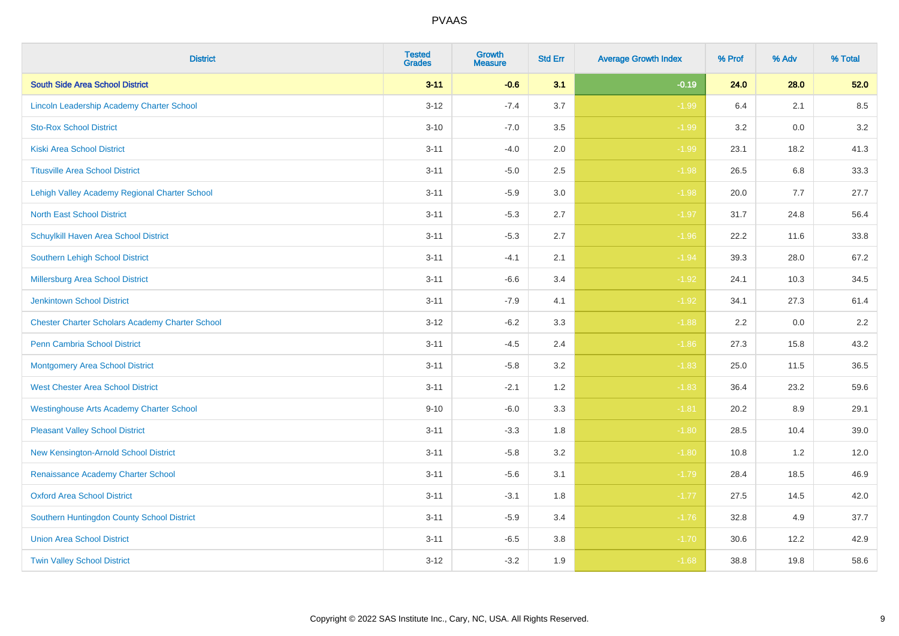| <b>District</b>                                        | <b>Tested</b><br><b>Grades</b> | Growth<br><b>Measure</b> | <b>Std Err</b> | <b>Average Growth Index</b> | % Prof | % Adv | % Total |
|--------------------------------------------------------|--------------------------------|--------------------------|----------------|-----------------------------|--------|-------|---------|
| <b>South Side Area School District</b>                 | $3 - 11$                       | $-0.6$                   | 3.1            | $-0.19$                     | 24.0   | 28.0  | 52.0    |
| Lincoln Leadership Academy Charter School              | $3 - 12$                       | $-7.4$                   | 3.7            | $-1.99$                     | 6.4    | 2.1   | 8.5     |
| <b>Sto-Rox School District</b>                         | $3 - 10$                       | $-7.0$                   | 3.5            | $-1.99$                     | 3.2    | 0.0   | 3.2     |
| <b>Kiski Area School District</b>                      | $3 - 11$                       | $-4.0$                   | 2.0            | $-1.99$                     | 23.1   | 18.2  | 41.3    |
| <b>Titusville Area School District</b>                 | $3 - 11$                       | $-5.0$                   | 2.5            | $-1.98$                     | 26.5   | 6.8   | 33.3    |
| Lehigh Valley Academy Regional Charter School          | $3 - 11$                       | $-5.9$                   | 3.0            | $-1.98$                     | 20.0   | 7.7   | 27.7    |
| <b>North East School District</b>                      | $3 - 11$                       | $-5.3$                   | 2.7            | $-1.97$                     | 31.7   | 24.8  | 56.4    |
| Schuylkill Haven Area School District                  | $3 - 11$                       | $-5.3$                   | 2.7            | $-1.96$                     | 22.2   | 11.6  | 33.8    |
| <b>Southern Lehigh School District</b>                 | $3 - 11$                       | $-4.1$                   | 2.1            | $-1.94$                     | 39.3   | 28.0  | 67.2    |
| Millersburg Area School District                       | $3 - 11$                       | $-6.6$                   | 3.4            | $-1.92$                     | 24.1   | 10.3  | 34.5    |
| <b>Jenkintown School District</b>                      | $3 - 11$                       | $-7.9$                   | 4.1            | $-1.92$                     | 34.1   | 27.3  | 61.4    |
| <b>Chester Charter Scholars Academy Charter School</b> | $3 - 12$                       | $-6.2$                   | 3.3            | $-1.88$                     | 2.2    | 0.0   | 2.2     |
| Penn Cambria School District                           | $3 - 11$                       | $-4.5$                   | 2.4            | $-1.86$                     | 27.3   | 15.8  | 43.2    |
| <b>Montgomery Area School District</b>                 | $3 - 11$                       | $-5.8$                   | 3.2            | $-1.83$                     | 25.0   | 11.5  | 36.5    |
| <b>West Chester Area School District</b>               | $3 - 11$                       | $-2.1$                   | 1.2            | $-1.83$                     | 36.4   | 23.2  | 59.6    |
| <b>Westinghouse Arts Academy Charter School</b>        | $9 - 10$                       | $-6.0$                   | 3.3            | $-1.81$                     | 20.2   | 8.9   | 29.1    |
| <b>Pleasant Valley School District</b>                 | $3 - 11$                       | $-3.3$                   | 1.8            | $-1.80$                     | 28.5   | 10.4  | 39.0    |
| New Kensington-Arnold School District                  | $3 - 11$                       | $-5.8$                   | 3.2            | $-1.80$                     | 10.8   | 1.2   | 12.0    |
| Renaissance Academy Charter School                     | $3 - 11$                       | $-5.6$                   | 3.1            | $-1.79$                     | 28.4   | 18.5  | 46.9    |
| <b>Oxford Area School District</b>                     | $3 - 11$                       | $-3.1$                   | 1.8            | $-1.77$                     | 27.5   | 14.5  | 42.0    |
| Southern Huntingdon County School District             | $3 - 11$                       | $-5.9$                   | 3.4            | $-1.76$                     | 32.8   | 4.9   | 37.7    |
| <b>Union Area School District</b>                      | $3 - 11$                       | $-6.5$                   | 3.8            | $-1.70$                     | 30.6   | 12.2  | 42.9    |
| <b>Twin Valley School District</b>                     | $3 - 12$                       | $-3.2$                   | 1.9            | $-1.68$                     | 38.8   | 19.8  | 58.6    |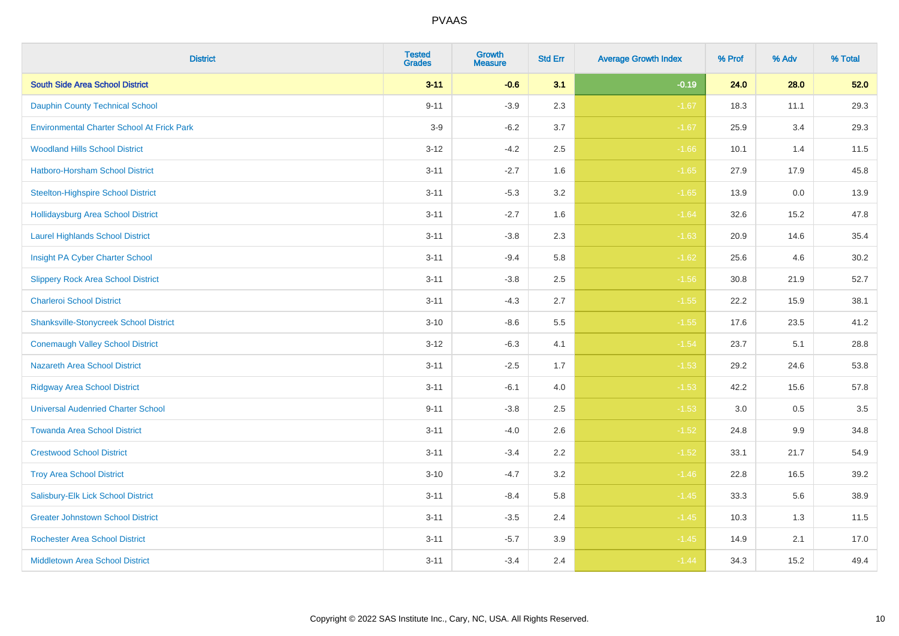| <b>District</b>                                   | <b>Tested</b><br><b>Grades</b> | <b>Growth</b><br><b>Measure</b> | <b>Std Err</b> | <b>Average Growth Index</b> | % Prof | % Adv | % Total |
|---------------------------------------------------|--------------------------------|---------------------------------|----------------|-----------------------------|--------|-------|---------|
| <b>South Side Area School District</b>            | $3 - 11$                       | $-0.6$                          | 3.1            | $-0.19$                     | 24.0   | 28.0  | 52.0    |
| <b>Dauphin County Technical School</b>            | $9 - 11$                       | $-3.9$                          | 2.3            | $-1.67$                     | 18.3   | 11.1  | 29.3    |
| <b>Environmental Charter School At Frick Park</b> | $3-9$                          | $-6.2$                          | 3.7            | $-1.67$                     | 25.9   | 3.4   | 29.3    |
| <b>Woodland Hills School District</b>             | $3 - 12$                       | $-4.2$                          | 2.5            | $-1.66$                     | 10.1   | 1.4   | 11.5    |
| Hatboro-Horsham School District                   | $3 - 11$                       | $-2.7$                          | 1.6            | $-1.65$                     | 27.9   | 17.9  | 45.8    |
| <b>Steelton-Highspire School District</b>         | $3 - 11$                       | $-5.3$                          | 3.2            | $-1.65$                     | 13.9   | 0.0   | 13.9    |
| <b>Hollidaysburg Area School District</b>         | $3 - 11$                       | $-2.7$                          | 1.6            | $-1.64$                     | 32.6   | 15.2  | 47.8    |
| <b>Laurel Highlands School District</b>           | $3 - 11$                       | $-3.8$                          | 2.3            | $-1.63$                     | 20.9   | 14.6  | 35.4    |
| Insight PA Cyber Charter School                   | $3 - 11$                       | $-9.4$                          | 5.8            | $-1.62$                     | 25.6   | 4.6   | 30.2    |
| <b>Slippery Rock Area School District</b>         | $3 - 11$                       | $-3.8$                          | 2.5            | $-1.56$                     | 30.8   | 21.9  | 52.7    |
| <b>Charleroi School District</b>                  | $3 - 11$                       | $-4.3$                          | 2.7            | $-1.55$                     | 22.2   | 15.9  | 38.1    |
| <b>Shanksville-Stonycreek School District</b>     | $3 - 10$                       | $-8.6$                          | 5.5            | $-1.55$                     | 17.6   | 23.5  | 41.2    |
| <b>Conemaugh Valley School District</b>           | $3 - 12$                       | $-6.3$                          | 4.1            | $-1.54$                     | 23.7   | 5.1   | 28.8    |
| <b>Nazareth Area School District</b>              | $3 - 11$                       | $-2.5$                          | 1.7            | $-1.53$                     | 29.2   | 24.6  | 53.8    |
| <b>Ridgway Area School District</b>               | $3 - 11$                       | $-6.1$                          | 4.0            | $-1.53$                     | 42.2   | 15.6  | 57.8    |
| <b>Universal Audenried Charter School</b>         | $9 - 11$                       | $-3.8$                          | 2.5            | $-1.53$                     | 3.0    | 0.5   | 3.5     |
| <b>Towanda Area School District</b>               | $3 - 11$                       | $-4.0$                          | 2.6            | $-1.52$                     | 24.8   | 9.9   | 34.8    |
| <b>Crestwood School District</b>                  | $3 - 11$                       | $-3.4$                          | 2.2            | $-1.52$                     | 33.1   | 21.7  | 54.9    |
| <b>Troy Area School District</b>                  | $3 - 10$                       | $-4.7$                          | 3.2            | $-1.46$                     | 22.8   | 16.5  | 39.2    |
| Salisbury-Elk Lick School District                | $3 - 11$                       | $-8.4$                          | 5.8            | $-1.45$                     | 33.3   | 5.6   | 38.9    |
| <b>Greater Johnstown School District</b>          | $3 - 11$                       | $-3.5$                          | 2.4            | $-1.45$                     | 10.3   | 1.3   | 11.5    |
| <b>Rochester Area School District</b>             | $3 - 11$                       | $-5.7$                          | 3.9            | $-1.45$                     | 14.9   | 2.1   | 17.0    |
| <b>Middletown Area School District</b>            | $3 - 11$                       | $-3.4$                          | 2.4            | $-1.44$                     | 34.3   | 15.2  | 49.4    |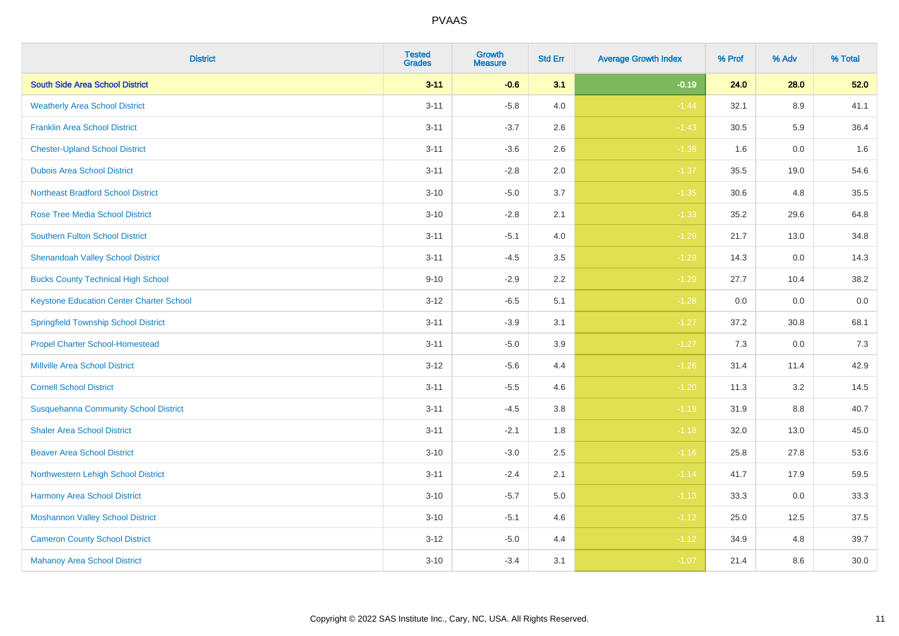| <b>District</b>                                 | <b>Tested</b><br><b>Grades</b> | <b>Growth</b><br><b>Measure</b> | <b>Std Err</b> | <b>Average Growth Index</b> | % Prof | % Adv | % Total |
|-------------------------------------------------|--------------------------------|---------------------------------|----------------|-----------------------------|--------|-------|---------|
| <b>South Side Area School District</b>          | $3 - 11$                       | $-0.6$                          | 3.1            | $-0.19$                     | 24.0   | 28.0  | 52.0    |
| <b>Weatherly Area School District</b>           | $3 - 11$                       | $-5.8$                          | 4.0            | $-1.44$                     | 32.1   | 8.9   | 41.1    |
| <b>Franklin Area School District</b>            | $3 - 11$                       | $-3.7$                          | 2.6            | $-1.43$                     | 30.5   | 5.9   | 36.4    |
| <b>Chester-Upland School District</b>           | $3 - 11$                       | $-3.6$                          | 2.6            | $-1.38$                     | 1.6    | 0.0   | 1.6     |
| <b>Dubois Area School District</b>              | $3 - 11$                       | $-2.8$                          | 2.0            | $-1.37$                     | 35.5   | 19.0  | 54.6    |
| <b>Northeast Bradford School District</b>       | $3 - 10$                       | $-5.0$                          | 3.7            | $-1.35$                     | 30.6   | 4.8   | 35.5    |
| <b>Rose Tree Media School District</b>          | $3 - 10$                       | $-2.8$                          | 2.1            | $-1.33$                     | 35.2   | 29.6  | 64.8    |
| <b>Southern Fulton School District</b>          | $3 - 11$                       | $-5.1$                          | 4.0            | $-1.29$                     | 21.7   | 13.0  | 34.8    |
| <b>Shenandoah Valley School District</b>        | $3 - 11$                       | $-4.5$                          | 3.5            | $-1.29$                     | 14.3   | 0.0   | 14.3    |
| <b>Bucks County Technical High School</b>       | $9 - 10$                       | $-2.9$                          | $2.2\,$        | $-1.29$                     | 27.7   | 10.4  | 38.2    |
| <b>Keystone Education Center Charter School</b> | $3 - 12$                       | $-6.5$                          | 5.1            | $-1.28$                     | 0.0    | 0.0   | $0.0\,$ |
| <b>Springfield Township School District</b>     | $3 - 11$                       | $-3.9$                          | 3.1            | $-1.27$                     | 37.2   | 30.8  | 68.1    |
| <b>Propel Charter School-Homestead</b>          | $3 - 11$                       | $-5.0$                          | 3.9            | $-1.27$                     | 7.3    | 0.0   | 7.3     |
| <b>Millville Area School District</b>           | $3 - 12$                       | $-5.6$                          | 4.4            | $-1.26$                     | 31.4   | 11.4  | 42.9    |
| <b>Cornell School District</b>                  | $3 - 11$                       | $-5.5$                          | 4.6            | $-1.20$                     | 11.3   | 3.2   | 14.5    |
| <b>Susquehanna Community School District</b>    | $3 - 11$                       | $-4.5$                          | 3.8            | $-1.19$                     | 31.9   | 8.8   | 40.7    |
| <b>Shaler Area School District</b>              | $3 - 11$                       | $-2.1$                          | 1.8            | $-1.18$                     | 32.0   | 13.0  | 45.0    |
| <b>Beaver Area School District</b>              | $3 - 10$                       | $-3.0$                          | 2.5            | $-1.16$                     | 25.8   | 27.8  | 53.6    |
| Northwestern Lehigh School District             | $3 - 11$                       | $-2.4$                          | 2.1            | $-1.14$                     | 41.7   | 17.9  | 59.5    |
| Harmony Area School District                    | $3 - 10$                       | $-5.7$                          | 5.0            | $-1.13$                     | 33.3   | 0.0   | 33.3    |
| <b>Moshannon Valley School District</b>         | $3 - 10$                       | $-5.1$                          | 4.6            | $-1.12$                     | 25.0   | 12.5  | 37.5    |
| <b>Cameron County School District</b>           | $3 - 12$                       | $-5.0$                          | 4.4            | $-1.12$                     | 34.9   | 4.8   | 39.7    |
| <b>Mahanoy Area School District</b>             | $3 - 10$                       | $-3.4$                          | 3.1            | $-1.07$                     | 21.4   | 8.6   | 30.0    |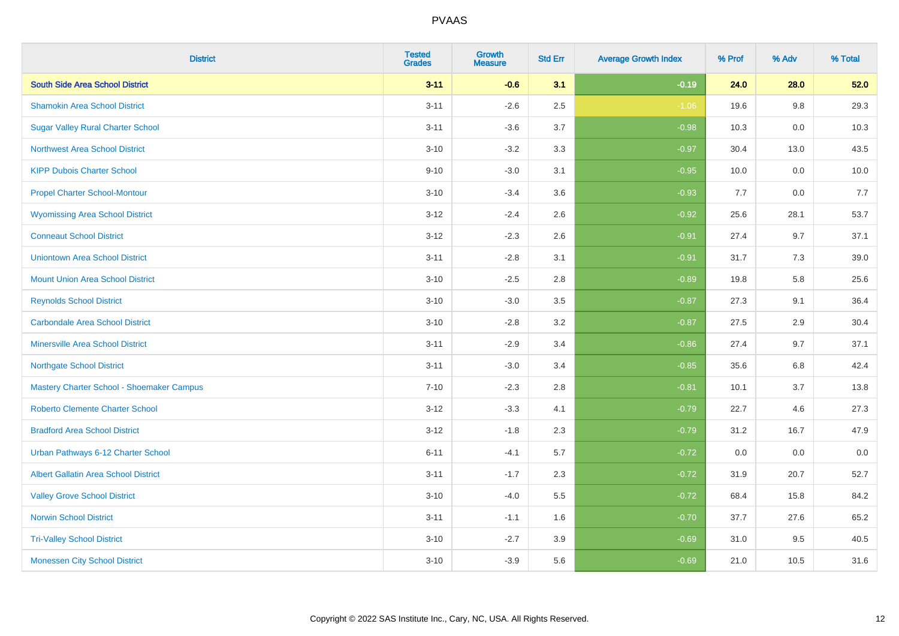| <b>District</b>                             | <b>Tested</b><br><b>Grades</b> | Growth<br><b>Measure</b> | <b>Std Err</b> | <b>Average Growth Index</b> | % Prof | % Adv | % Total |
|---------------------------------------------|--------------------------------|--------------------------|----------------|-----------------------------|--------|-------|---------|
| <b>South Side Area School District</b>      | $3 - 11$                       | $-0.6$                   | 3.1            | $-0.19$                     | 24.0   | 28.0  | 52.0    |
| <b>Shamokin Area School District</b>        | $3 - 11$                       | $-2.6$                   | 2.5            | $-1.06$                     | 19.6   | 9.8   | 29.3    |
| <b>Sugar Valley Rural Charter School</b>    | $3 - 11$                       | $-3.6$                   | 3.7            | $-0.98$                     | 10.3   | 0.0   | 10.3    |
| <b>Northwest Area School District</b>       | $3 - 10$                       | $-3.2$                   | 3.3            | $-0.97$                     | 30.4   | 13.0  | 43.5    |
| <b>KIPP Dubois Charter School</b>           | $9 - 10$                       | $-3.0$                   | 3.1            | $-0.95$                     | 10.0   | 0.0   | 10.0    |
| <b>Propel Charter School-Montour</b>        | $3 - 10$                       | $-3.4$                   | 3.6            | $-0.93$                     | 7.7    | 0.0   | 7.7     |
| <b>Wyomissing Area School District</b>      | $3 - 12$                       | $-2.4$                   | 2.6            | $-0.92$                     | 25.6   | 28.1  | 53.7    |
| <b>Conneaut School District</b>             | $3 - 12$                       | $-2.3$                   | 2.6            | $-0.91$                     | 27.4   | 9.7   | 37.1    |
| <b>Uniontown Area School District</b>       | $3 - 11$                       | $-2.8$                   | 3.1            | $-0.91$                     | 31.7   | 7.3   | 39.0    |
| <b>Mount Union Area School District</b>     | $3 - 10$                       | $-2.5$                   | 2.8            | $-0.89$                     | 19.8   | 5.8   | 25.6    |
| <b>Reynolds School District</b>             | $3 - 10$                       | $-3.0$                   | 3.5            | $-0.87$                     | 27.3   | 9.1   | 36.4    |
| <b>Carbondale Area School District</b>      | $3 - 10$                       | $-2.8$                   | 3.2            | $-0.87$                     | 27.5   | 2.9   | 30.4    |
| <b>Minersville Area School District</b>     | $3 - 11$                       | $-2.9$                   | 3.4            | $-0.86$                     | 27.4   | 9.7   | 37.1    |
| <b>Northgate School District</b>            | $3 - 11$                       | $-3.0$                   | 3.4            | $-0.85$                     | 35.6   | 6.8   | 42.4    |
| Mastery Charter School - Shoemaker Campus   | $7 - 10$                       | $-2.3$                   | 2.8            | $-0.81$                     | 10.1   | 3.7   | 13.8    |
| Roberto Clemente Charter School             | $3 - 12$                       | $-3.3$                   | 4.1            | $-0.79$                     | 22.7   | 4.6   | 27.3    |
| <b>Bradford Area School District</b>        | $3 - 12$                       | $-1.8$                   | 2.3            | $-0.79$                     | 31.2   | 16.7  | 47.9    |
| Urban Pathways 6-12 Charter School          | $6 - 11$                       | $-4.1$                   | 5.7            | $-0.72$                     | 0.0    | 0.0   | $0.0\,$ |
| <b>Albert Gallatin Area School District</b> | $3 - 11$                       | $-1.7$                   | 2.3            | $-0.72$                     | 31.9   | 20.7  | 52.7    |
| <b>Valley Grove School District</b>         | $3 - 10$                       | $-4.0$                   | 5.5            | $-0.72$                     | 68.4   | 15.8  | 84.2    |
| <b>Norwin School District</b>               | $3 - 11$                       | $-1.1$                   | 1.6            | $-0.70$                     | 37.7   | 27.6  | 65.2    |
| <b>Tri-Valley School District</b>           | $3 - 10$                       | $-2.7$                   | 3.9            | $-0.69$                     | 31.0   | 9.5   | 40.5    |
| <b>Monessen City School District</b>        | $3 - 10$                       | $-3.9$                   | 5.6            | $-0.69$                     | 21.0   | 10.5  | 31.6    |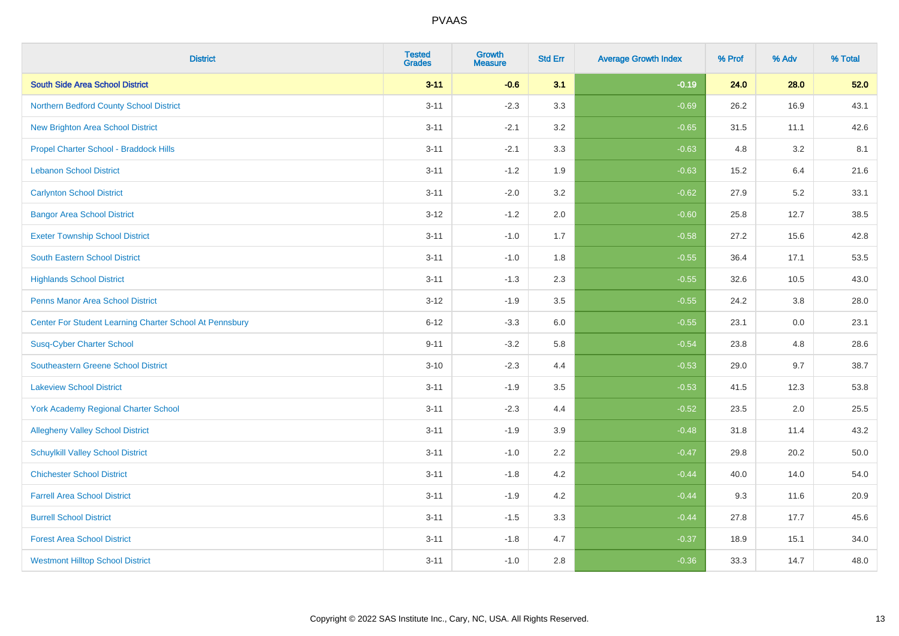| <b>District</b>                                         | <b>Tested</b><br><b>Grades</b> | <b>Growth</b><br><b>Measure</b> | <b>Std Err</b> | <b>Average Growth Index</b> | % Prof | % Adv | % Total |
|---------------------------------------------------------|--------------------------------|---------------------------------|----------------|-----------------------------|--------|-------|---------|
| <b>South Side Area School District</b>                  | $3 - 11$                       | $-0.6$                          | 3.1            | $-0.19$                     | 24.0   | 28.0  | 52.0    |
| Northern Bedford County School District                 | $3 - 11$                       | $-2.3$                          | 3.3            | $-0.69$                     | 26.2   | 16.9  | 43.1    |
| <b>New Brighton Area School District</b>                | $3 - 11$                       | $-2.1$                          | 3.2            | $-0.65$                     | 31.5   | 11.1  | 42.6    |
| Propel Charter School - Braddock Hills                  | $3 - 11$                       | $-2.1$                          | 3.3            | $-0.63$                     | 4.8    | 3.2   | 8.1     |
| <b>Lebanon School District</b>                          | $3 - 11$                       | $-1.2$                          | 1.9            | $-0.63$                     | 15.2   | 6.4   | 21.6    |
| <b>Carlynton School District</b>                        | $3 - 11$                       | $-2.0$                          | 3.2            | $-0.62$                     | 27.9   | 5.2   | 33.1    |
| <b>Bangor Area School District</b>                      | $3 - 12$                       | $-1.2$                          | 2.0            | $-0.60$                     | 25.8   | 12.7  | 38.5    |
| <b>Exeter Township School District</b>                  | $3 - 11$                       | $-1.0$                          | 1.7            | $-0.58$                     | 27.2   | 15.6  | 42.8    |
| <b>South Eastern School District</b>                    | $3 - 11$                       | $-1.0$                          | 1.8            | $-0.55$                     | 36.4   | 17.1  | 53.5    |
| <b>Highlands School District</b>                        | $3 - 11$                       | $-1.3$                          | 2.3            | $-0.55$                     | 32.6   | 10.5  | 43.0    |
| <b>Penns Manor Area School District</b>                 | $3 - 12$                       | $-1.9$                          | 3.5            | $-0.55$                     | 24.2   | 3.8   | 28.0    |
| Center For Student Learning Charter School At Pennsbury | $6 - 12$                       | $-3.3$                          | 6.0            | $-0.55$                     | 23.1   | 0.0   | 23.1    |
| <b>Susq-Cyber Charter School</b>                        | $9 - 11$                       | $-3.2$                          | 5.8            | $-0.54$                     | 23.8   | 4.8   | 28.6    |
| Southeastern Greene School District                     | $3 - 10$                       | $-2.3$                          | 4.4            | $-0.53$                     | 29.0   | 9.7   | 38.7    |
| <b>Lakeview School District</b>                         | $3 - 11$                       | $-1.9$                          | 3.5            | $-0.53$                     | 41.5   | 12.3  | 53.8    |
| <b>York Academy Regional Charter School</b>             | $3 - 11$                       | $-2.3$                          | 4.4            | $-0.52$                     | 23.5   | 2.0   | 25.5    |
| <b>Allegheny Valley School District</b>                 | $3 - 11$                       | $-1.9$                          | 3.9            | $-0.48$                     | 31.8   | 11.4  | 43.2    |
| <b>Schuylkill Valley School District</b>                | $3 - 11$                       | $-1.0$                          | 2.2            | $-0.47$                     | 29.8   | 20.2  | 50.0    |
| <b>Chichester School District</b>                       | $3 - 11$                       | $-1.8$                          | 4.2            | $-0.44$                     | 40.0   | 14.0  | 54.0    |
| <b>Farrell Area School District</b>                     | $3 - 11$                       | $-1.9$                          | 4.2            | $-0.44$                     | 9.3    | 11.6  | 20.9    |
| <b>Burrell School District</b>                          | $3 - 11$                       | $-1.5$                          | 3.3            | $-0.44$                     | 27.8   | 17.7  | 45.6    |
| <b>Forest Area School District</b>                      | $3 - 11$                       | $-1.8$                          | 4.7            | $-0.37$                     | 18.9   | 15.1  | 34.0    |
| <b>Westmont Hilltop School District</b>                 | $3 - 11$                       | $-1.0$                          | 2.8            | $-0.36$                     | 33.3   | 14.7  | 48.0    |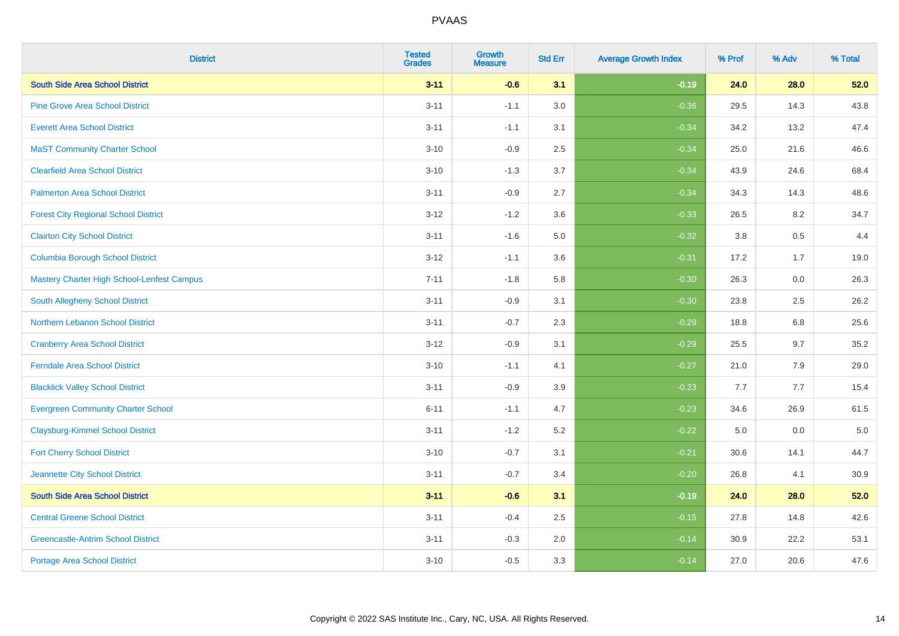| <b>District</b>                             | <b>Tested</b><br><b>Grades</b> | Growth<br><b>Measure</b> | <b>Std Err</b> | <b>Average Growth Index</b> | % Prof | % Adv | % Total |
|---------------------------------------------|--------------------------------|--------------------------|----------------|-----------------------------|--------|-------|---------|
| <b>South Side Area School District</b>      | $3 - 11$                       | $-0.6$                   | 3.1            | $-0.19$                     | 24.0   | 28.0  | 52.0    |
| <b>Pine Grove Area School District</b>      | $3 - 11$                       | $-1.1$                   | 3.0            | $-0.36$                     | 29.5   | 14.3  | 43.8    |
| <b>Everett Area School District</b>         | $3 - 11$                       | $-1.1$                   | 3.1            | $-0.34$                     | 34.2   | 13.2  | 47.4    |
| <b>MaST Community Charter School</b>        | $3 - 10$                       | $-0.9$                   | 2.5            | $-0.34$                     | 25.0   | 21.6  | 46.6    |
| <b>Clearfield Area School District</b>      | $3 - 10$                       | $-1.3$                   | 3.7            | $-0.34$                     | 43.9   | 24.6  | 68.4    |
| <b>Palmerton Area School District</b>       | $3 - 11$                       | $-0.9$                   | 2.7            | $-0.34$                     | 34.3   | 14.3  | 48.6    |
| <b>Forest City Regional School District</b> | $3 - 12$                       | $-1.2$                   | 3.6            | $-0.33$                     | 26.5   | 8.2   | 34.7    |
| <b>Clairton City School District</b>        | $3 - 11$                       | $-1.6$                   | $5.0\,$        | $-0.32$                     | 3.8    | 0.5   | 4.4     |
| <b>Columbia Borough School District</b>     | $3 - 12$                       | $-1.1$                   | 3.6            | $-0.31$                     | 17.2   | 1.7   | 19.0    |
| Mastery Charter High School-Lenfest Campus  | $7 - 11$                       | $-1.8$                   | 5.8            | $-0.30$                     | 26.3   | 0.0   | 26.3    |
| South Allegheny School District             | $3 - 11$                       | $-0.9$                   | 3.1            | $-0.30$                     | 23.8   | 2.5   | 26.2    |
| Northern Lebanon School District            | $3 - 11$                       | $-0.7$                   | 2.3            | $-0.29$                     | 18.8   | 6.8   | 25.6    |
| <b>Cranberry Area School District</b>       | $3 - 12$                       | $-0.9$                   | 3.1            | $-0.29$                     | 25.5   | 9.7   | 35.2    |
| <b>Ferndale Area School District</b>        | $3 - 10$                       | $-1.1$                   | 4.1            | $-0.27$                     | 21.0   | 7.9   | 29.0    |
| <b>Blacklick Valley School District</b>     | $3 - 11$                       | $-0.9$                   | 3.9            | $-0.23$                     | 7.7    | 7.7   | 15.4    |
| <b>Evergreen Community Charter School</b>   | $6 - 11$                       | $-1.1$                   | 4.7            | $-0.23$                     | 34.6   | 26.9  | 61.5    |
| <b>Claysburg-Kimmel School District</b>     | $3 - 11$                       | $-1.2$                   | 5.2            | $-0.22$                     | 5.0    | 0.0   | $5.0$   |
| <b>Fort Cherry School District</b>          | $3 - 10$                       | $-0.7$                   | 3.1            | $-0.21$                     | 30.6   | 14.1  | 44.7    |
| Jeannette City School District              | $3 - 11$                       | $-0.7$                   | 3.4            | $-0.20$                     | 26.8   | 4.1   | 30.9    |
| <b>South Side Area School District</b>      | $3 - 11$                       | $-0.6$                   | 3.1            | $-0.19$                     | 24.0   | 28.0  | 52.0    |
| <b>Central Greene School District</b>       | $3 - 11$                       | $-0.4$                   | 2.5            | $-0.15$                     | 27.8   | 14.8  | 42.6    |
| <b>Greencastle-Antrim School District</b>   | $3 - 11$                       | $-0.3$                   | 2.0            | $-0.14$                     | 30.9   | 22.2  | 53.1    |
| <b>Portage Area School District</b>         | $3 - 10$                       | $-0.5$                   | 3.3            | $-0.14$                     | 27.0   | 20.6  | 47.6    |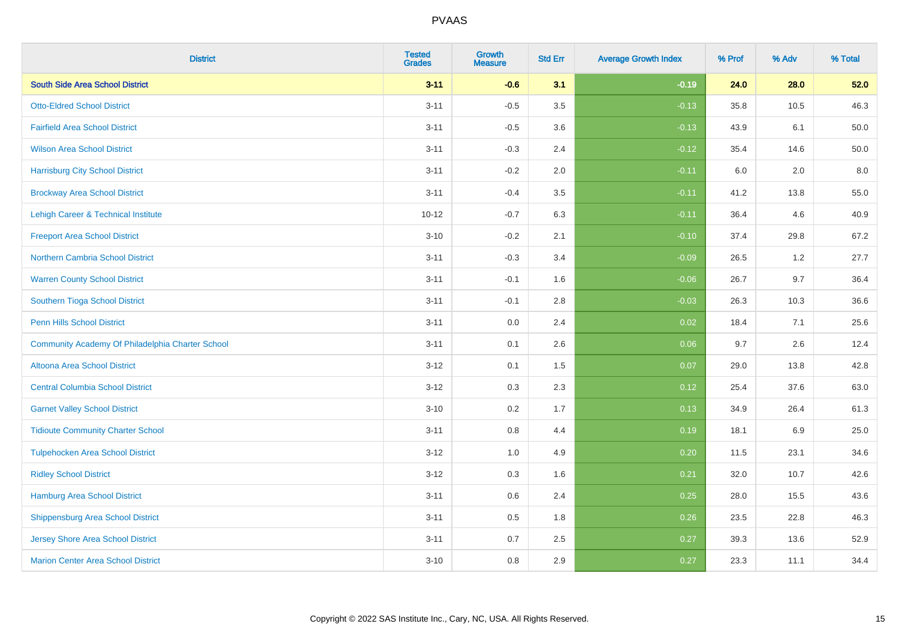| <b>District</b>                                  | <b>Tested</b><br><b>Grades</b> | <b>Growth</b><br><b>Measure</b> | <b>Std Err</b> | <b>Average Growth Index</b> | % Prof | % Adv | % Total |
|--------------------------------------------------|--------------------------------|---------------------------------|----------------|-----------------------------|--------|-------|---------|
| <b>South Side Area School District</b>           | $3 - 11$                       | $-0.6$                          | 3.1            | $-0.19$                     | 24.0   | 28.0  | 52.0    |
| <b>Otto-Eldred School District</b>               | $3 - 11$                       | $-0.5$                          | 3.5            | $-0.13$                     | 35.8   | 10.5  | 46.3    |
| <b>Fairfield Area School District</b>            | $3 - 11$                       | $-0.5$                          | 3.6            | $-0.13$                     | 43.9   | 6.1   | 50.0    |
| <b>Wilson Area School District</b>               | $3 - 11$                       | $-0.3$                          | 2.4            | $-0.12$                     | 35.4   | 14.6  | 50.0    |
| <b>Harrisburg City School District</b>           | $3 - 11$                       | $-0.2$                          | 2.0            | $-0.11$                     | 6.0    | 2.0   | 8.0     |
| <b>Brockway Area School District</b>             | $3 - 11$                       | $-0.4$                          | 3.5            | $-0.11$                     | 41.2   | 13.8  | 55.0    |
| Lehigh Career & Technical Institute              | $10 - 12$                      | $-0.7$                          | 6.3            | $-0.11$                     | 36.4   | 4.6   | 40.9    |
| <b>Freeport Area School District</b>             | $3 - 10$                       | $-0.2$                          | 2.1            | $-0.10$                     | 37.4   | 29.8  | 67.2    |
| <b>Northern Cambria School District</b>          | $3 - 11$                       | $-0.3$                          | 3.4            | $-0.09$                     | 26.5   | 1.2   | 27.7    |
| <b>Warren County School District</b>             | $3 - 11$                       | $-0.1$                          | 1.6            | $-0.06$                     | 26.7   | 9.7   | 36.4    |
| Southern Tioga School District                   | $3 - 11$                       | $-0.1$                          | 2.8            | $-0.03$                     | 26.3   | 10.3  | 36.6    |
| <b>Penn Hills School District</b>                | $3 - 11$                       | 0.0                             | 2.4            | 0.02                        | 18.4   | 7.1   | 25.6    |
| Community Academy Of Philadelphia Charter School | $3 - 11$                       | 0.1                             | 2.6            | 0.06                        | 9.7    | 2.6   | 12.4    |
| Altoona Area School District                     | $3 - 12$                       | 0.1                             | 1.5            | 0.07                        | 29.0   | 13.8  | 42.8    |
| <b>Central Columbia School District</b>          | $3 - 12$                       | 0.3                             | 2.3            | 0.12                        | 25.4   | 37.6  | 63.0    |
| <b>Garnet Valley School District</b>             | $3 - 10$                       | 0.2                             | 1.7            | 0.13                        | 34.9   | 26.4  | 61.3    |
| <b>Tidioute Community Charter School</b>         | $3 - 11$                       | 0.8                             | 4.4            | 0.19                        | 18.1   | 6.9   | 25.0    |
| <b>Tulpehocken Area School District</b>          | $3 - 12$                       | 1.0                             | 4.9            | 0.20                        | 11.5   | 23.1  | 34.6    |
| <b>Ridley School District</b>                    | $3 - 12$                       | 0.3                             | 1.6            | 0.21                        | 32.0   | 10.7  | 42.6    |
| <b>Hamburg Area School District</b>              | $3 - 11$                       | 0.6                             | 2.4            | 0.25                        | 28.0   | 15.5  | 43.6    |
| <b>Shippensburg Area School District</b>         | $3 - 11$                       | 0.5                             | 1.8            | 0.26                        | 23.5   | 22.8  | 46.3    |
| Jersey Shore Area School District                | $3 - 11$                       | 0.7                             | 2.5            | 0.27                        | 39.3   | 13.6  | 52.9    |
| <b>Marion Center Area School District</b>        | $3 - 10$                       | 0.8                             | 2.9            | 0.27                        | 23.3   | 11.1  | 34.4    |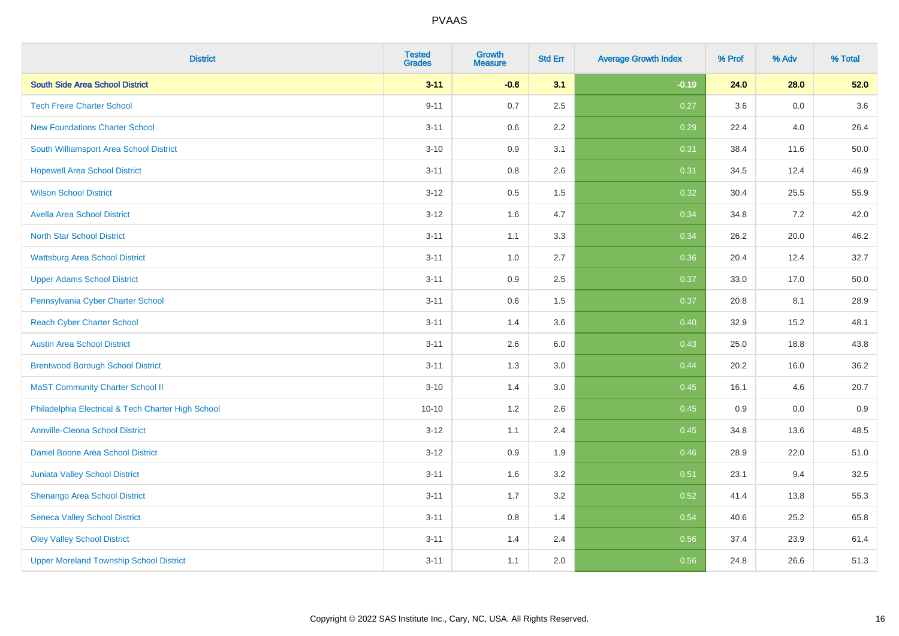| <b>District</b>                                    | <b>Tested</b><br><b>Grades</b> | <b>Growth</b><br><b>Measure</b> | <b>Std Err</b> | <b>Average Growth Index</b> | % Prof | % Adv   | % Total |
|----------------------------------------------------|--------------------------------|---------------------------------|----------------|-----------------------------|--------|---------|---------|
| <b>South Side Area School District</b>             | $3 - 11$                       | $-0.6$                          | 3.1            | $-0.19$                     | 24.0   | 28.0    | 52.0    |
| <b>Tech Freire Charter School</b>                  | $9 - 11$                       | 0.7                             | 2.5            | 0.27                        | 3.6    | 0.0     | 3.6     |
| <b>New Foundations Charter School</b>              | $3 - 11$                       | 0.6                             | 2.2            | 0.29                        | 22.4   | 4.0     | 26.4    |
| South Williamsport Area School District            | $3 - 10$                       | 0.9                             | 3.1            | 0.31                        | 38.4   | 11.6    | 50.0    |
| <b>Hopewell Area School District</b>               | $3 - 11$                       | 0.8                             | 2.6            | 0.31                        | 34.5   | 12.4    | 46.9    |
| <b>Wilson School District</b>                      | $3 - 12$                       | 0.5                             | 1.5            | 0.32                        | 30.4   | 25.5    | 55.9    |
| <b>Avella Area School District</b>                 | $3-12$                         | 1.6                             | 4.7            | 0.34                        | 34.8   | 7.2     | 42.0    |
| <b>North Star School District</b>                  | $3 - 11$                       | 1.1                             | 3.3            | 0.34                        | 26.2   | 20.0    | 46.2    |
| <b>Wattsburg Area School District</b>              | $3 - 11$                       | 1.0                             | 2.7            | 0.36                        | 20.4   | 12.4    | 32.7    |
| <b>Upper Adams School District</b>                 | $3 - 11$                       | 0.9                             | 2.5            | 0.37                        | 33.0   | 17.0    | 50.0    |
| Pennsylvania Cyber Charter School                  | $3 - 11$                       | 0.6                             | 1.5            | 0.37                        | 20.8   | 8.1     | 28.9    |
| <b>Reach Cyber Charter School</b>                  | $3 - 11$                       | 1.4                             | 3.6            | 0.40                        | 32.9   | 15.2    | 48.1    |
| <b>Austin Area School District</b>                 | $3 - 11$                       | 2.6                             | 6.0            | 0.43                        | 25.0   | 18.8    | 43.8    |
| <b>Brentwood Borough School District</b>           | $3 - 11$                       | 1.3                             | 3.0            | 0.44                        | 20.2   | 16.0    | 36.2    |
| <b>MaST Community Charter School II</b>            | $3 - 10$                       | 1.4                             | 3.0            | 0.45                        | 16.1   | 4.6     | 20.7    |
| Philadelphia Electrical & Tech Charter High School | $10 - 10$                      | 1.2                             | 2.6            | 0.45                        | 0.9    | $0.0\,$ | 0.9     |
| <b>Annville-Cleona School District</b>             | $3 - 12$                       | 1.1                             | 2.4            | 0.45                        | 34.8   | 13.6    | 48.5    |
| <b>Daniel Boone Area School District</b>           | $3 - 12$                       | 0.9                             | 1.9            | 0.46                        | 28.9   | 22.0    | 51.0    |
| Juniata Valley School District                     | $3 - 11$                       | 1.6                             | 3.2            | 0.51                        | 23.1   | 9.4     | 32.5    |
| Shenango Area School District                      | $3 - 11$                       | 1.7                             | 3.2            | 0.52                        | 41.4   | 13.8    | 55.3    |
| <b>Seneca Valley School District</b>               | $3 - 11$                       | $0.8\,$                         | 1.4            | 0.54                        | 40.6   | 25.2    | 65.8    |
| <b>Oley Valley School District</b>                 | $3 - 11$                       | 1.4                             | 2.4            | 0.56                        | 37.4   | 23.9    | 61.4    |
| <b>Upper Moreland Township School District</b>     | $3 - 11$                       | 1.1                             | 2.0            | 0.56                        | 24.8   | 26.6    | 51.3    |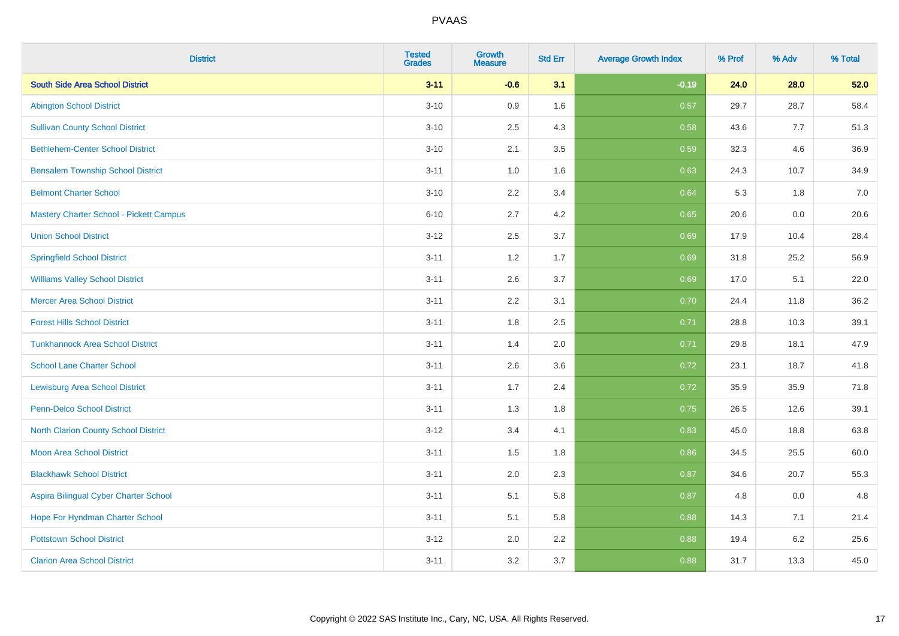| <b>District</b>                                | <b>Tested</b><br><b>Grades</b> | Growth<br><b>Measure</b> | <b>Std Err</b> | <b>Average Growth Index</b> | % Prof | % Adv   | % Total |
|------------------------------------------------|--------------------------------|--------------------------|----------------|-----------------------------|--------|---------|---------|
| <b>South Side Area School District</b>         | $3 - 11$                       | $-0.6$                   | 3.1            | $-0.19$                     | 24.0   | 28.0    | 52.0    |
| <b>Abington School District</b>                | $3 - 10$                       | 0.9                      | 1.6            | 0.57                        | 29.7   | 28.7    | 58.4    |
| <b>Sullivan County School District</b>         | $3 - 10$                       | 2.5                      | 4.3            | 0.58                        | 43.6   | 7.7     | 51.3    |
| <b>Bethlehem-Center School District</b>        | $3 - 10$                       | 2.1                      | 3.5            | 0.59                        | 32.3   | 4.6     | 36.9    |
| <b>Bensalem Township School District</b>       | $3 - 11$                       | 1.0                      | 1.6            | 0.63                        | 24.3   | 10.7    | 34.9    |
| <b>Belmont Charter School</b>                  | $3 - 10$                       | 2.2                      | 3.4            | 0.64                        | 5.3    | 1.8     | 7.0     |
| <b>Mastery Charter School - Pickett Campus</b> | $6 - 10$                       | 2.7                      | 4.2            | 0.65                        | 20.6   | 0.0     | 20.6    |
| <b>Union School District</b>                   | $3 - 12$                       | 2.5                      | 3.7            | 0.69                        | 17.9   | 10.4    | 28.4    |
| <b>Springfield School District</b>             | $3 - 11$                       | 1.2                      | 1.7            | 0.69                        | 31.8   | 25.2    | 56.9    |
| <b>Williams Valley School District</b>         | $3 - 11$                       | 2.6                      | 3.7            | 0.69                        | 17.0   | 5.1     | 22.0    |
| <b>Mercer Area School District</b>             | $3 - 11$                       | 2.2                      | 3.1            | 0.70                        | 24.4   | 11.8    | 36.2    |
| <b>Forest Hills School District</b>            | $3 - 11$                       | 1.8                      | 2.5            | 0.71                        | 28.8   | 10.3    | 39.1    |
| <b>Tunkhannock Area School District</b>        | $3 - 11$                       | 1.4                      | 2.0            | 0.71                        | 29.8   | 18.1    | 47.9    |
| <b>School Lane Charter School</b>              | $3 - 11$                       | 2.6                      | 3.6            | 0.72                        | 23.1   | 18.7    | 41.8    |
| <b>Lewisburg Area School District</b>          | $3 - 11$                       | 1.7                      | 2.4            | 0.72                        | 35.9   | 35.9    | 71.8    |
| <b>Penn-Delco School District</b>              | $3 - 11$                       | 1.3                      | 1.8            | 0.75                        | 26.5   | 12.6    | 39.1    |
| <b>North Clarion County School District</b>    | $3 - 12$                       | 3.4                      | 4.1            | 0.83                        | 45.0   | 18.8    | 63.8    |
| <b>Moon Area School District</b>               | $3 - 11$                       | 1.5                      | 1.8            | 0.86                        | 34.5   | 25.5    | 60.0    |
| <b>Blackhawk School District</b>               | $3 - 11$                       | 2.0                      | 2.3            | 0.87                        | 34.6   | 20.7    | 55.3    |
| Aspira Bilingual Cyber Charter School          | $3 - 11$                       | 5.1                      | 5.8            | 0.87                        | 4.8    | 0.0     | 4.8     |
| Hope For Hyndman Charter School                | $3 - 11$                       | 5.1                      | 5.8            | 0.88                        | 14.3   | 7.1     | 21.4    |
| <b>Pottstown School District</b>               | $3 - 12$                       | 2.0                      | 2.2            | 0.88                        | 19.4   | $6.2\,$ | 25.6    |
| <b>Clarion Area School District</b>            | $3 - 11$                       | 3.2                      | 3.7            | 0.88                        | 31.7   | 13.3    | 45.0    |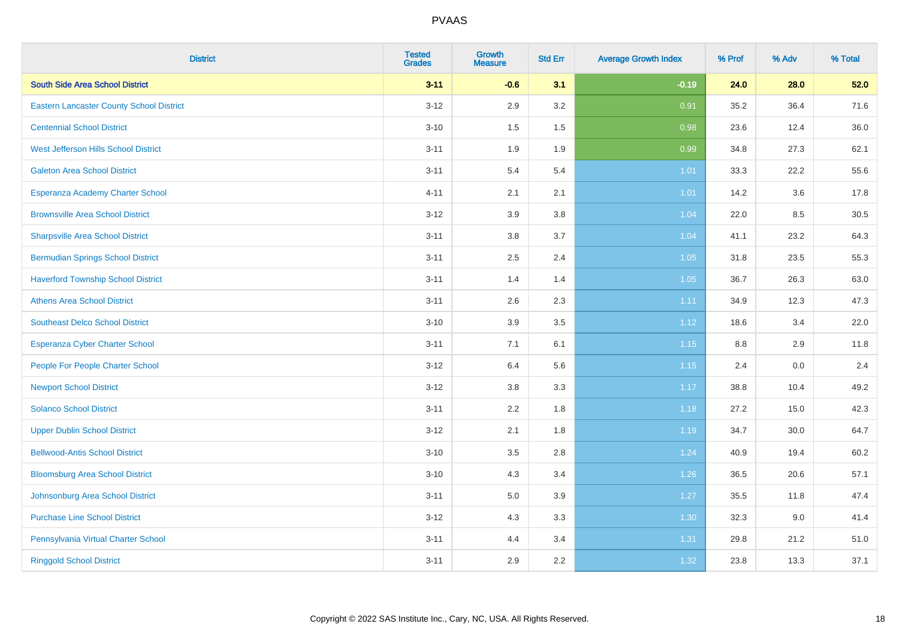| <b>District</b>                                 | <b>Tested</b><br><b>Grades</b> | <b>Growth</b><br><b>Measure</b> | <b>Std Err</b> | <b>Average Growth Index</b> | % Prof  | % Adv | % Total |
|-------------------------------------------------|--------------------------------|---------------------------------|----------------|-----------------------------|---------|-------|---------|
| <b>South Side Area School District</b>          | $3 - 11$                       | $-0.6$                          | 3.1            | $-0.19$                     | 24.0    | 28.0  | 52.0    |
| <b>Eastern Lancaster County School District</b> | $3 - 12$                       | 2.9                             | 3.2            | 0.91                        | 35.2    | 36.4  | 71.6    |
| <b>Centennial School District</b>               | $3 - 10$                       | 1.5                             | 1.5            | 0.98                        | 23.6    | 12.4  | 36.0    |
| West Jefferson Hills School District            | $3 - 11$                       | 1.9                             | 1.9            | 0.99                        | 34.8    | 27.3  | 62.1    |
| <b>Galeton Area School District</b>             | $3 - 11$                       | 5.4                             | 5.4            | 1.01                        | 33.3    | 22.2  | 55.6    |
| Esperanza Academy Charter School                | $4 - 11$                       | 2.1                             | 2.1            | $1.01$                      | 14.2    | 3.6   | 17.8    |
| <b>Brownsville Area School District</b>         | $3 - 12$                       | 3.9                             | 3.8            | 1.04                        | 22.0    | 8.5   | 30.5    |
| <b>Sharpsville Area School District</b>         | $3 - 11$                       | $3.8\,$                         | 3.7            | 1.04                        | 41.1    | 23.2  | 64.3    |
| <b>Bermudian Springs School District</b>        | $3 - 11$                       | 2.5                             | 2.4            | 1.05                        | 31.8    | 23.5  | 55.3    |
| <b>Haverford Township School District</b>       | $3 - 11$                       | 1.4                             | 1.4            | 1.05                        | 36.7    | 26.3  | 63.0    |
| <b>Athens Area School District</b>              | $3 - 11$                       | 2.6                             | 2.3            | 1.11                        | 34.9    | 12.3  | 47.3    |
| <b>Southeast Delco School District</b>          | $3 - 10$                       | 3.9                             | 3.5            | 1.12                        | 18.6    | 3.4   | 22.0    |
| Esperanza Cyber Charter School                  | $3 - 11$                       | 7.1                             | 6.1            | $1.15$                      | $8.8\,$ | 2.9   | 11.8    |
| People For People Charter School                | $3 - 12$                       | 6.4                             | 5.6            | 1.15                        | 2.4     | 0.0   | 2.4     |
| <b>Newport School District</b>                  | $3 - 12$                       | 3.8                             | 3.3            | 1.17                        | 38.8    | 10.4  | 49.2    |
| <b>Solanco School District</b>                  | $3 - 11$                       | 2.2                             | 1.8            | 1.18                        | 27.2    | 15.0  | 42.3    |
| <b>Upper Dublin School District</b>             | $3 - 12$                       | 2.1                             | 1.8            | 1.19                        | 34.7    | 30.0  | 64.7    |
| <b>Bellwood-Antis School District</b>           | $3 - 10$                       | 3.5                             | 2.8            | 1.24                        | 40.9    | 19.4  | 60.2    |
| <b>Bloomsburg Area School District</b>          | $3 - 10$                       | 4.3                             | 3.4            | 1.26                        | 36.5    | 20.6  | 57.1    |
| Johnsonburg Area School District                | $3 - 11$                       | 5.0                             | 3.9            | 1.27                        | 35.5    | 11.8  | 47.4    |
| <b>Purchase Line School District</b>            | $3 - 12$                       | 4.3                             | 3.3            | 1.30                        | 32.3    | 9.0   | 41.4    |
| Pennsylvania Virtual Charter School             | $3 - 11$                       | 4.4                             | 3.4            | 1.31                        | 29.8    | 21.2  | 51.0    |
| <b>Ringgold School District</b>                 | $3 - 11$                       | 2.9                             | 2.2            | 1.32                        | 23.8    | 13.3  | 37.1    |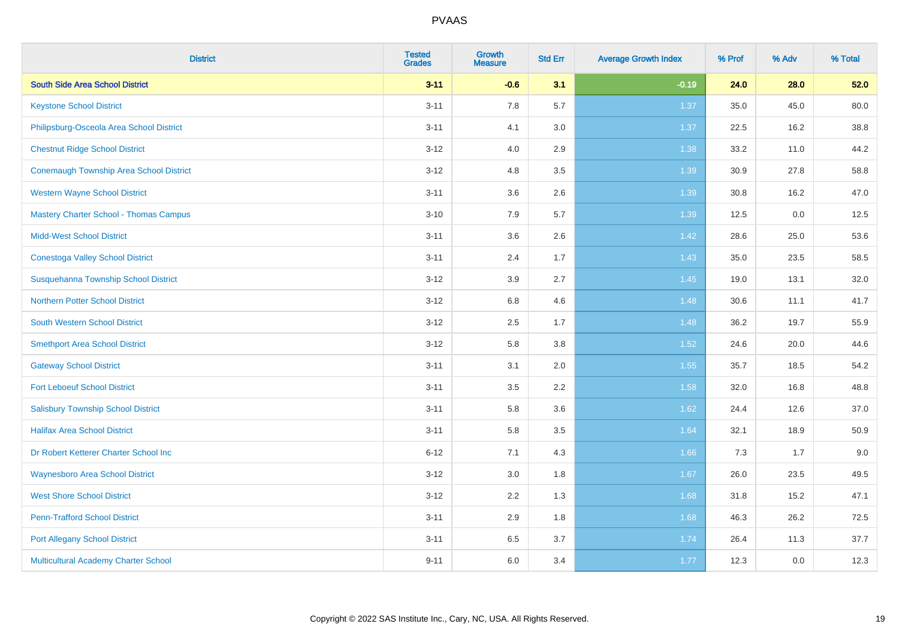| <b>District</b>                                | <b>Tested</b><br><b>Grades</b> | <b>Growth</b><br><b>Measure</b> | <b>Std Err</b> | <b>Average Growth Index</b> | % Prof | % Adv | % Total |
|------------------------------------------------|--------------------------------|---------------------------------|----------------|-----------------------------|--------|-------|---------|
| <b>South Side Area School District</b>         | $3 - 11$                       | $-0.6$                          | 3.1            | $-0.19$                     | 24.0   | 28.0  | 52.0    |
| <b>Keystone School District</b>                | $3 - 11$                       | 7.8                             | 5.7            | 1.37                        | 35.0   | 45.0  | 80.0    |
| Philipsburg-Osceola Area School District       | $3 - 11$                       | 4.1                             | 3.0            | 1.37                        | 22.5   | 16.2  | 38.8    |
| <b>Chestnut Ridge School District</b>          | $3 - 12$                       | 4.0                             | 2.9            | 1.38                        | 33.2   | 11.0  | 44.2    |
| <b>Conemaugh Township Area School District</b> | $3 - 12$                       | 4.8                             | 3.5            | 1.39                        | 30.9   | 27.8  | 58.8    |
| <b>Western Wayne School District</b>           | $3 - 11$                       | 3.6                             | 2.6            | 1.39                        | 30.8   | 16.2  | 47.0    |
| <b>Mastery Charter School - Thomas Campus</b>  | $3 - 10$                       | 7.9                             | 5.7            | 1.39                        | 12.5   | 0.0   | 12.5    |
| <b>Midd-West School District</b>               | $3 - 11$                       | 3.6                             | 2.6            | 1.42                        | 28.6   | 25.0  | 53.6    |
| <b>Conestoga Valley School District</b>        | $3 - 11$                       | 2.4                             | 1.7            | 1.43                        | 35.0   | 23.5  | 58.5    |
| Susquehanna Township School District           | $3 - 12$                       | 3.9                             | 2.7            | 1.45                        | 19.0   | 13.1  | 32.0    |
| <b>Northern Potter School District</b>         | $3 - 12$                       | $6.8\,$                         | 4.6            | 1.48                        | 30.6   | 11.1  | 41.7    |
| South Western School District                  | $3 - 12$                       | 2.5                             | 1.7            | 1.48                        | 36.2   | 19.7  | 55.9    |
| <b>Smethport Area School District</b>          | $3 - 12$                       | 5.8                             | 3.8            | 1.52                        | 24.6   | 20.0  | 44.6    |
| <b>Gateway School District</b>                 | $3 - 11$                       | 3.1                             | 2.0            | 1.55                        | 35.7   | 18.5  | 54.2    |
| <b>Fort Leboeuf School District</b>            | $3 - 11$                       | 3.5                             | 2.2            | 1.58                        | 32.0   | 16.8  | 48.8    |
| <b>Salisbury Township School District</b>      | $3 - 11$                       | 5.8                             | 3.6            | 1.62                        | 24.4   | 12.6  | 37.0    |
| <b>Halifax Area School District</b>            | $3 - 11$                       | 5.8                             | 3.5            | 1.64                        | 32.1   | 18.9  | 50.9    |
| Dr Robert Ketterer Charter School Inc          | $6 - 12$                       | 7.1                             | 4.3            | 1.66                        | 7.3    | 1.7   | 9.0     |
| <b>Waynesboro Area School District</b>         | $3 - 12$                       | 3.0                             | 1.8            | 1.67                        | 26.0   | 23.5  | 49.5    |
| <b>West Shore School District</b>              | $3 - 12$                       | 2.2                             | 1.3            | 1.68                        | 31.8   | 15.2  | 47.1    |
| <b>Penn-Trafford School District</b>           | $3 - 11$                       | 2.9                             | 1.8            | 1.68                        | 46.3   | 26.2  | 72.5    |
| <b>Port Allegany School District</b>           | $3 - 11$                       | 6.5                             | 3.7            | 1.74                        | 26.4   | 11.3  | 37.7    |
| Multicultural Academy Charter School           | $9 - 11$                       | 6.0                             | 3.4            | 1.77                        | 12.3   | 0.0   | 12.3    |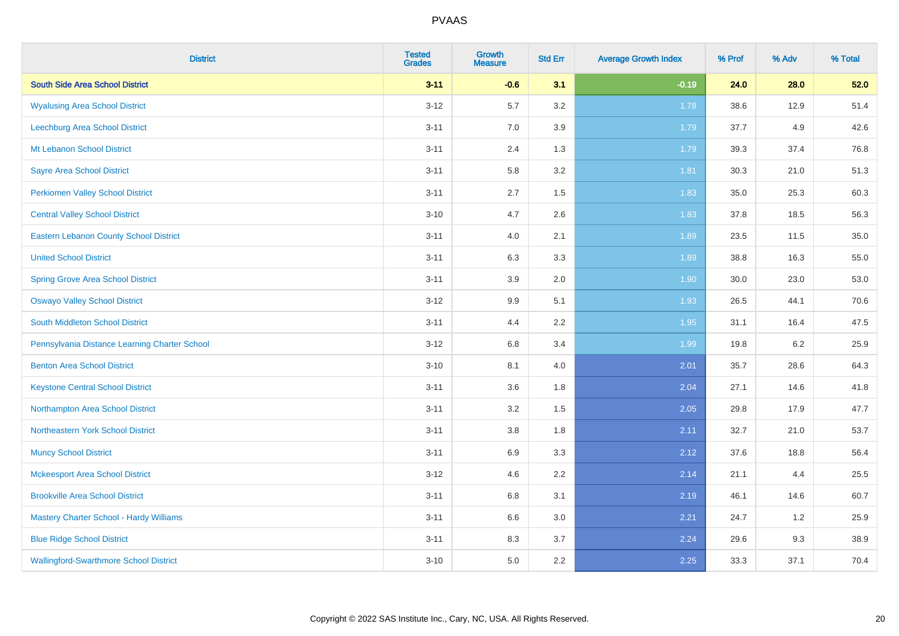| <b>District</b>                                | <b>Tested</b><br><b>Grades</b> | Growth<br><b>Measure</b> | <b>Std Err</b> | <b>Average Growth Index</b> | % Prof | % Adv   | % Total |
|------------------------------------------------|--------------------------------|--------------------------|----------------|-----------------------------|--------|---------|---------|
| <b>South Side Area School District</b>         | $3 - 11$                       | $-0.6$                   | 3.1            | $-0.19$                     | 24.0   | 28.0    | 52.0    |
| <b>Wyalusing Area School District</b>          | $3 - 12$                       | 5.7                      | 3.2            | 1.78                        | 38.6   | 12.9    | 51.4    |
| Leechburg Area School District                 | $3 - 11$                       | 7.0                      | 3.9            | 1.79                        | 37.7   | 4.9     | 42.6    |
| Mt Lebanon School District                     | $3 - 11$                       | 2.4                      | 1.3            | 1.79                        | 39.3   | 37.4    | 76.8    |
| <b>Sayre Area School District</b>              | $3 - 11$                       | 5.8                      | 3.2            | 1.81                        | 30.3   | 21.0    | 51.3    |
| <b>Perkiomen Valley School District</b>        | $3 - 11$                       | 2.7                      | 1.5            | 1.83                        | 35.0   | 25.3    | 60.3    |
| <b>Central Valley School District</b>          | $3 - 10$                       | 4.7                      | 2.6            | 1.83                        | 37.8   | 18.5    | 56.3    |
| <b>Eastern Lebanon County School District</b>  | $3 - 11$                       | 4.0                      | 2.1            | 1.89                        | 23.5   | 11.5    | 35.0    |
| <b>United School District</b>                  | $3 - 11$                       | 6.3                      | 3.3            | 1.89                        | 38.8   | 16.3    | 55.0    |
| <b>Spring Grove Area School District</b>       | $3 - 11$                       | 3.9                      | 2.0            | 1.90                        | 30.0   | 23.0    | 53.0    |
| <b>Oswayo Valley School District</b>           | $3 - 12$                       | 9.9                      | 5.1            | 1.93                        | 26.5   | 44.1    | 70.6    |
| <b>South Middleton School District</b>         | $3 - 11$                       | 4.4                      | 2.2            | 1.95                        | 31.1   | 16.4    | 47.5    |
| Pennsylvania Distance Learning Charter School  | $3 - 12$                       | 6.8                      | 3.4            | 1.99                        | 19.8   | $6.2\,$ | 25.9    |
| <b>Benton Area School District</b>             | $3 - 10$                       | 8.1                      | 4.0            | 2.01                        | 35.7   | 28.6    | 64.3    |
| <b>Keystone Central School District</b>        | $3 - 11$                       | 3.6                      | 1.8            | 2.04                        | 27.1   | 14.6    | 41.8    |
| Northampton Area School District               | $3 - 11$                       | 3.2                      | 1.5            | 2.05                        | 29.8   | 17.9    | 47.7    |
| Northeastern York School District              | $3 - 11$                       | $3.8\,$                  | 1.8            | 2.11                        | 32.7   | 21.0    | 53.7    |
| <b>Muncy School District</b>                   | $3 - 11$                       | 6.9                      | 3.3            | 2.12                        | 37.6   | 18.8    | 56.4    |
| <b>Mckeesport Area School District</b>         | $3 - 12$                       | 4.6                      | 2.2            | 2.14                        | 21.1   | 4.4     | 25.5    |
| <b>Brookville Area School District</b>         | $3 - 11$                       | 6.8                      | 3.1            | 2.19                        | 46.1   | 14.6    | 60.7    |
| <b>Mastery Charter School - Hardy Williams</b> | $3 - 11$                       | 6.6                      | 3.0            | 2.21                        | 24.7   | 1.2     | 25.9    |
| <b>Blue Ridge School District</b>              | $3 - 11$                       | 8.3                      | 3.7            | 2.24                        | 29.6   | 9.3     | 38.9    |
| <b>Wallingford-Swarthmore School District</b>  | $3 - 10$                       | 5.0                      | 2.2            | 2.25                        | 33.3   | 37.1    | 70.4    |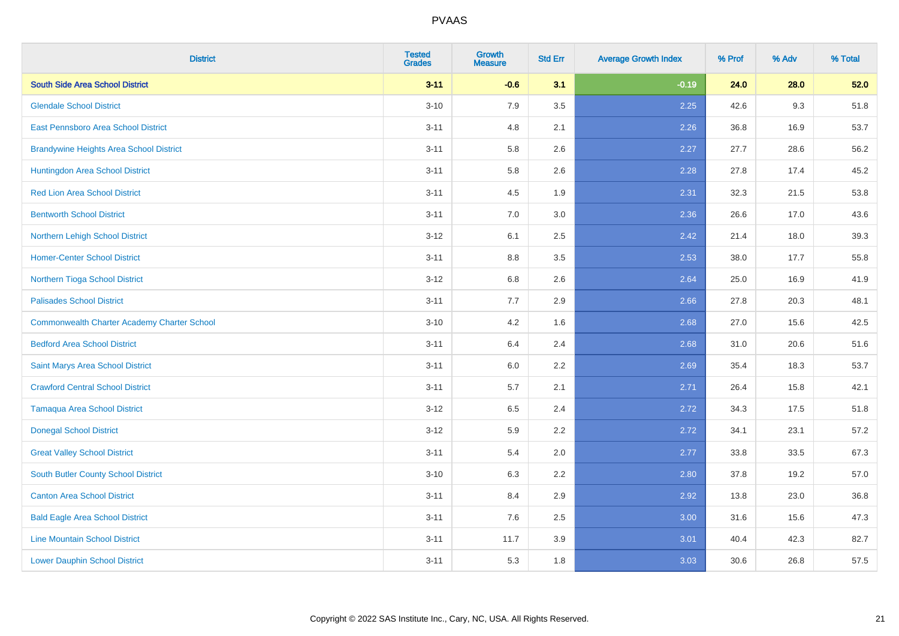| <b>District</b>                                    | <b>Tested</b><br><b>Grades</b> | <b>Growth</b><br><b>Measure</b> | <b>Std Err</b> | <b>Average Growth Index</b> | % Prof | % Adv | % Total |
|----------------------------------------------------|--------------------------------|---------------------------------|----------------|-----------------------------|--------|-------|---------|
| <b>South Side Area School District</b>             | $3 - 11$                       | $-0.6$                          | 3.1            | $-0.19$                     | 24.0   | 28.0  | 52.0    |
| <b>Glendale School District</b>                    | $3 - 10$                       | 7.9                             | 3.5            | 2.25                        | 42.6   | 9.3   | 51.8    |
| <b>East Pennsboro Area School District</b>         | $3 - 11$                       | 4.8                             | 2.1            | 2.26                        | 36.8   | 16.9  | 53.7    |
| <b>Brandywine Heights Area School District</b>     | $3 - 11$                       | 5.8                             | 2.6            | 2.27                        | 27.7   | 28.6  | 56.2    |
| Huntingdon Area School District                    | $3 - 11$                       | 5.8                             | 2.6            | 2.28                        | 27.8   | 17.4  | 45.2    |
| <b>Red Lion Area School District</b>               | $3 - 11$                       | 4.5                             | 1.9            | 2.31                        | 32.3   | 21.5  | 53.8    |
| <b>Bentworth School District</b>                   | $3 - 11$                       | 7.0                             | 3.0            | 2.36                        | 26.6   | 17.0  | 43.6    |
| Northern Lehigh School District                    | $3 - 12$                       | 6.1                             | 2.5            | 2.42                        | 21.4   | 18.0  | 39.3    |
| <b>Homer-Center School District</b>                | $3 - 11$                       | 8.8                             | 3.5            | 2.53                        | 38.0   | 17.7  | 55.8    |
| Northern Tioga School District                     | $3 - 12$                       | 6.8                             | 2.6            | 2.64                        | 25.0   | 16.9  | 41.9    |
| <b>Palisades School District</b>                   | $3 - 11$                       | 7.7                             | 2.9            | 2.66                        | 27.8   | 20.3  | 48.1    |
| <b>Commonwealth Charter Academy Charter School</b> | $3 - 10$                       | 4.2                             | 1.6            | 2.68                        | 27.0   | 15.6  | 42.5    |
| <b>Bedford Area School District</b>                | $3 - 11$                       | 6.4                             | 2.4            | 2.68                        | 31.0   | 20.6  | 51.6    |
| Saint Marys Area School District                   | $3 - 11$                       | 6.0                             | 2.2            | 2.69                        | 35.4   | 18.3  | 53.7    |
| <b>Crawford Central School District</b>            | $3 - 11$                       | 5.7                             | 2.1            | 2.71                        | 26.4   | 15.8  | 42.1    |
| <b>Tamaqua Area School District</b>                | $3-12$                         | 6.5                             | 2.4            | 2.72                        | 34.3   | 17.5  | 51.8    |
| <b>Donegal School District</b>                     | $3-12$                         | 5.9                             | 2.2            | 2.72                        | 34.1   | 23.1  | 57.2    |
| <b>Great Valley School District</b>                | $3 - 11$                       | 5.4                             | 2.0            | 2.77                        | 33.8   | 33.5  | 67.3    |
| South Butler County School District                | $3 - 10$                       | 6.3                             | 2.2            | 2.80                        | 37.8   | 19.2  | 57.0    |
| <b>Canton Area School District</b>                 | $3 - 11$                       | 8.4                             | 2.9            | 2.92                        | 13.8   | 23.0  | 36.8    |
| <b>Bald Eagle Area School District</b>             | $3 - 11$                       | 7.6                             | 2.5            | 3.00                        | 31.6   | 15.6  | 47.3    |
| <b>Line Mountain School District</b>               | $3 - 11$                       | 11.7                            | 3.9            | 3.01                        | 40.4   | 42.3  | 82.7    |
| <b>Lower Dauphin School District</b>               | $3 - 11$                       | 5.3                             | 1.8            | 3.03                        | 30.6   | 26.8  | 57.5    |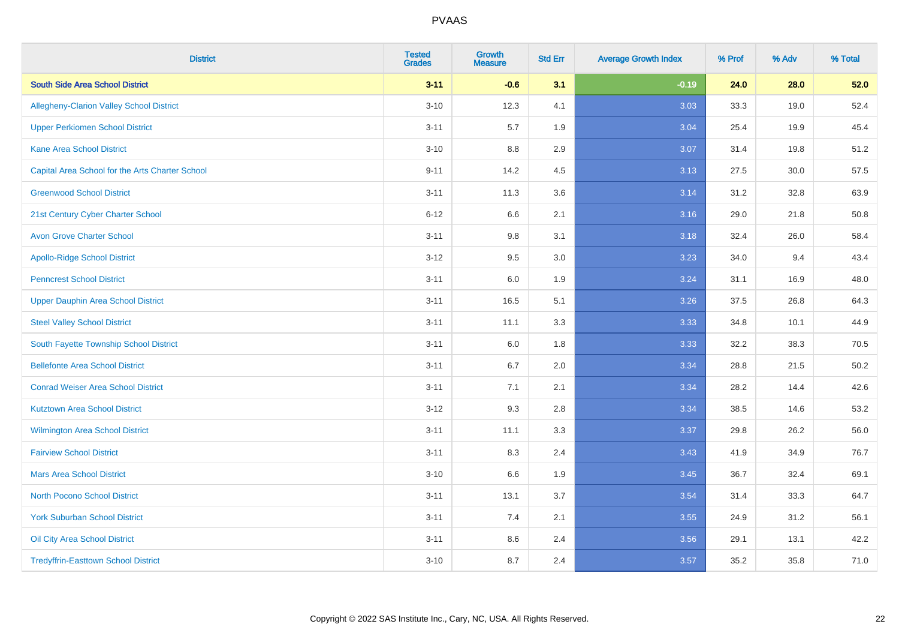| <b>District</b>                                 | <b>Tested</b><br><b>Grades</b> | <b>Growth</b><br><b>Measure</b> | <b>Std Err</b> | <b>Average Growth Index</b> | % Prof | % Adv | % Total |
|-------------------------------------------------|--------------------------------|---------------------------------|----------------|-----------------------------|--------|-------|---------|
| <b>South Side Area School District</b>          | $3 - 11$                       | $-0.6$                          | 3.1            | $-0.19$                     | 24.0   | 28.0  | 52.0    |
| <b>Allegheny-Clarion Valley School District</b> | $3 - 10$                       | 12.3                            | 4.1            | 3.03                        | 33.3   | 19.0  | 52.4    |
| <b>Upper Perkiomen School District</b>          | $3 - 11$                       | 5.7                             | 1.9            | 3.04                        | 25.4   | 19.9  | 45.4    |
| <b>Kane Area School District</b>                | $3 - 10$                       | 8.8                             | 2.9            | 3.07                        | 31.4   | 19.8  | 51.2    |
| Capital Area School for the Arts Charter School | $9 - 11$                       | 14.2                            | 4.5            | 3.13                        | 27.5   | 30.0  | 57.5    |
| <b>Greenwood School District</b>                | $3 - 11$                       | 11.3                            | 3.6            | 3.14                        | 31.2   | 32.8  | 63.9    |
| 21st Century Cyber Charter School               | $6 - 12$                       | 6.6                             | 2.1            | 3.16                        | 29.0   | 21.8  | 50.8    |
| <b>Avon Grove Charter School</b>                | $3 - 11$                       | 9.8                             | 3.1            | 3.18                        | 32.4   | 26.0  | 58.4    |
| <b>Apollo-Ridge School District</b>             | $3 - 12$                       | 9.5                             | 3.0            | 3.23                        | 34.0   | 9.4   | 43.4    |
| <b>Penncrest School District</b>                | $3 - 11$                       | 6.0                             | 1.9            | 3.24                        | 31.1   | 16.9  | 48.0    |
| <b>Upper Dauphin Area School District</b>       | $3 - 11$                       | 16.5                            | 5.1            | 3.26                        | 37.5   | 26.8  | 64.3    |
| <b>Steel Valley School District</b>             | $3 - 11$                       | 11.1                            | 3.3            | 3.33                        | 34.8   | 10.1  | 44.9    |
| South Fayette Township School District          | $3 - 11$                       | 6.0                             | 1.8            | 3.33                        | 32.2   | 38.3  | 70.5    |
| <b>Bellefonte Area School District</b>          | $3 - 11$                       | 6.7                             | 2.0            | 3.34                        | 28.8   | 21.5  | 50.2    |
| <b>Conrad Weiser Area School District</b>       | $3 - 11$                       | 7.1                             | 2.1            | 3.34                        | 28.2   | 14.4  | 42.6    |
| <b>Kutztown Area School District</b>            | $3 - 12$                       | 9.3                             | 2.8            | 3.34                        | 38.5   | 14.6  | 53.2    |
| Wilmington Area School District                 | $3 - 11$                       | 11.1                            | 3.3            | 3.37                        | 29.8   | 26.2  | 56.0    |
| <b>Fairview School District</b>                 | $3 - 11$                       | 8.3                             | 2.4            | 3.43                        | 41.9   | 34.9  | 76.7    |
| <b>Mars Area School District</b>                | $3 - 10$                       | 6.6                             | 1.9            | 3.45                        | 36.7   | 32.4  | 69.1    |
| <b>North Pocono School District</b>             | $3 - 11$                       | 13.1                            | 3.7            | 3.54                        | 31.4   | 33.3  | 64.7    |
| <b>York Suburban School District</b>            | $3 - 11$                       | 7.4                             | 2.1            | 3.55                        | 24.9   | 31.2  | 56.1    |
| Oil City Area School District                   | $3 - 11$                       | 8.6                             | 2.4            | 3.56                        | 29.1   | 13.1  | 42.2    |
| <b>Tredyffrin-Easttown School District</b>      | $3 - 10$                       | 8.7                             | 2.4            | 3.57                        | 35.2   | 35.8  | 71.0    |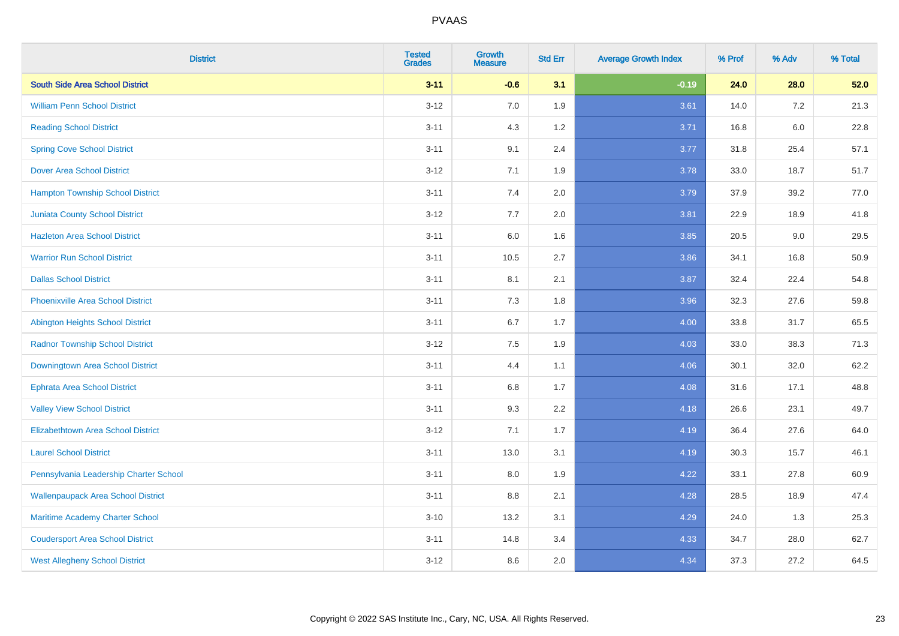| <b>District</b>                           | <b>Tested</b><br><b>Grades</b> | <b>Growth</b><br><b>Measure</b> | <b>Std Err</b> | <b>Average Growth Index</b> | % Prof | % Adv   | % Total |
|-------------------------------------------|--------------------------------|---------------------------------|----------------|-----------------------------|--------|---------|---------|
| <b>South Side Area School District</b>    | $3 - 11$                       | $-0.6$                          | 3.1            | $-0.19$                     | 24.0   | 28.0    | 52.0    |
| <b>William Penn School District</b>       | $3 - 12$                       | 7.0                             | 1.9            | 3.61                        | 14.0   | $7.2\,$ | 21.3    |
| <b>Reading School District</b>            | $3 - 11$                       | 4.3                             | 1.2            | 3.71                        | 16.8   | $6.0\,$ | 22.8    |
| <b>Spring Cove School District</b>        | $3 - 11$                       | 9.1                             | 2.4            | 3.77                        | 31.8   | 25.4    | 57.1    |
| <b>Dover Area School District</b>         | $3 - 12$                       | 7.1                             | 1.9            | 3.78                        | 33.0   | 18.7    | 51.7    |
| <b>Hampton Township School District</b>   | $3 - 11$                       | 7.4                             | 2.0            | 3.79                        | 37.9   | 39.2    | 77.0    |
| <b>Juniata County School District</b>     | $3-12$                         | 7.7                             | 2.0            | 3.81                        | 22.9   | 18.9    | 41.8    |
| <b>Hazleton Area School District</b>      | $3 - 11$                       | 6.0                             | 1.6            | 3.85                        | 20.5   | 9.0     | 29.5    |
| <b>Warrior Run School District</b>        | $3 - 11$                       | 10.5                            | 2.7            | 3.86                        | 34.1   | 16.8    | 50.9    |
| <b>Dallas School District</b>             | $3 - 11$                       | 8.1                             | 2.1            | 3.87                        | 32.4   | 22.4    | 54.8    |
| <b>Phoenixville Area School District</b>  | $3 - 11$                       | 7.3                             | 1.8            | 3.96                        | 32.3   | 27.6    | 59.8    |
| Abington Heights School District          | $3 - 11$                       | 6.7                             | 1.7            | 4.00                        | 33.8   | 31.7    | 65.5    |
| <b>Radnor Township School District</b>    | $3 - 12$                       | $7.5\,$                         | 1.9            | 4.03                        | 33.0   | 38.3    | 71.3    |
| Downingtown Area School District          | $3 - 11$                       | 4.4                             | 1.1            | 4.06                        | 30.1   | 32.0    | 62.2    |
| <b>Ephrata Area School District</b>       | $3 - 11$                       | 6.8                             | 1.7            | 4.08                        | 31.6   | 17.1    | 48.8    |
| <b>Valley View School District</b>        | $3 - 11$                       | 9.3                             | 2.2            | 4.18                        | 26.6   | 23.1    | 49.7    |
| <b>Elizabethtown Area School District</b> | $3-12$                         | 7.1                             | 1.7            | 4.19                        | 36.4   | 27.6    | 64.0    |
| <b>Laurel School District</b>             | $3 - 11$                       | 13.0                            | 3.1            | 4.19                        | 30.3   | 15.7    | 46.1    |
| Pennsylvania Leadership Charter School    | $3 - 11$                       | 8.0                             | 1.9            | 4.22                        | 33.1   | 27.8    | 60.9    |
| <b>Wallenpaupack Area School District</b> | $3 - 11$                       | 8.8                             | 2.1            | 4.28                        | 28.5   | 18.9    | 47.4    |
| Maritime Academy Charter School           | $3 - 10$                       | 13.2                            | 3.1            | 4.29                        | 24.0   | 1.3     | 25.3    |
| <b>Coudersport Area School District</b>   | $3 - 11$                       | 14.8                            | 3.4            | 4.33                        | 34.7   | 28.0    | 62.7    |
| <b>West Allegheny School District</b>     | $3-12$                         | 8.6                             | 2.0            | 4.34                        | 37.3   | 27.2    | 64.5    |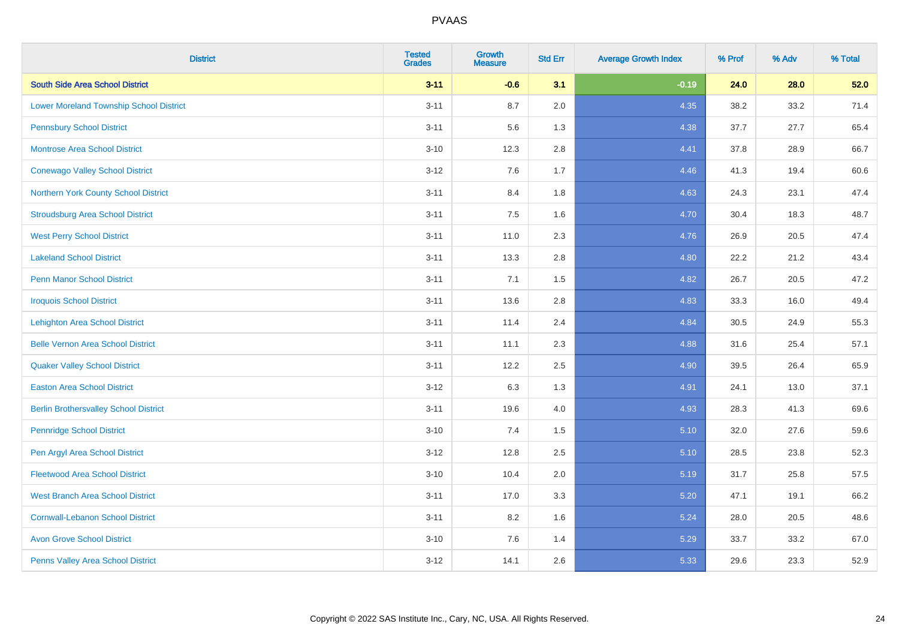| <b>District</b>                                | <b>Tested</b><br><b>Grades</b> | <b>Growth</b><br><b>Measure</b> | <b>Std Err</b> | <b>Average Growth Index</b> | % Prof | % Adv | % Total |
|------------------------------------------------|--------------------------------|---------------------------------|----------------|-----------------------------|--------|-------|---------|
| <b>South Side Area School District</b>         | $3 - 11$                       | $-0.6$                          | 3.1            | $-0.19$                     | 24.0   | 28.0  | 52.0    |
| <b>Lower Moreland Township School District</b> | $3 - 11$                       | 8.7                             | 2.0            | 4.35                        | 38.2   | 33.2  | 71.4    |
| <b>Pennsbury School District</b>               | $3 - 11$                       | 5.6                             | 1.3            | 4.38                        | 37.7   | 27.7  | 65.4    |
| <b>Montrose Area School District</b>           | $3 - 10$                       | 12.3                            | 2.8            | 4.41                        | 37.8   | 28.9  | 66.7    |
| <b>Conewago Valley School District</b>         | $3 - 12$                       | 7.6                             | 1.7            | 4.46                        | 41.3   | 19.4  | 60.6    |
| Northern York County School District           | $3 - 11$                       | 8.4                             | 1.8            | 4.63                        | 24.3   | 23.1  | 47.4    |
| <b>Stroudsburg Area School District</b>        | $3 - 11$                       | 7.5                             | 1.6            | 4.70                        | 30.4   | 18.3  | 48.7    |
| <b>West Perry School District</b>              | $3 - 11$                       | 11.0                            | 2.3            | 4.76                        | 26.9   | 20.5  | 47.4    |
| <b>Lakeland School District</b>                | $3 - 11$                       | 13.3                            | 2.8            | 4.80                        | 22.2   | 21.2  | 43.4    |
| <b>Penn Manor School District</b>              | $3 - 11$                       | 7.1                             | 1.5            | 4.82                        | 26.7   | 20.5  | 47.2    |
| <b>Iroquois School District</b>                | $3 - 11$                       | 13.6                            | 2.8            | 4.83                        | 33.3   | 16.0  | 49.4    |
| <b>Lehighton Area School District</b>          | $3 - 11$                       | 11.4                            | 2.4            | 4.84                        | 30.5   | 24.9  | 55.3    |
| <b>Belle Vernon Area School District</b>       | $3 - 11$                       | 11.1                            | 2.3            | 4.88                        | 31.6   | 25.4  | 57.1    |
| <b>Quaker Valley School District</b>           | $3 - 11$                       | 12.2                            | 2.5            | 4.90                        | 39.5   | 26.4  | 65.9    |
| <b>Easton Area School District</b>             | $3 - 12$                       | 6.3                             | 1.3            | 4.91                        | 24.1   | 13.0  | 37.1    |
| <b>Berlin Brothersvalley School District</b>   | $3 - 11$                       | 19.6                            | 4.0            | 4.93                        | 28.3   | 41.3  | 69.6    |
| <b>Pennridge School District</b>               | $3 - 10$                       | 7.4                             | 1.5            | 5.10                        | 32.0   | 27.6  | 59.6    |
| Pen Argyl Area School District                 | $3 - 12$                       | 12.8                            | 2.5            | 5.10                        | 28.5   | 23.8  | 52.3    |
| <b>Fleetwood Area School District</b>          | $3 - 10$                       | 10.4                            | 2.0            | 5.19                        | 31.7   | 25.8  | 57.5    |
| <b>West Branch Area School District</b>        | $3 - 11$                       | 17.0                            | 3.3            | 5.20                        | 47.1   | 19.1  | 66.2    |
| <b>Cornwall-Lebanon School District</b>        | $3 - 11$                       | 8.2                             | 1.6            | 5.24                        | 28.0   | 20.5  | 48.6    |
| <b>Avon Grove School District</b>              | $3 - 10$                       | 7.6                             | 1.4            | 5.29                        | 33.7   | 33.2  | 67.0    |
| Penns Valley Area School District              | $3 - 12$                       | 14.1                            | 2.6            | 5.33                        | 29.6   | 23.3  | 52.9    |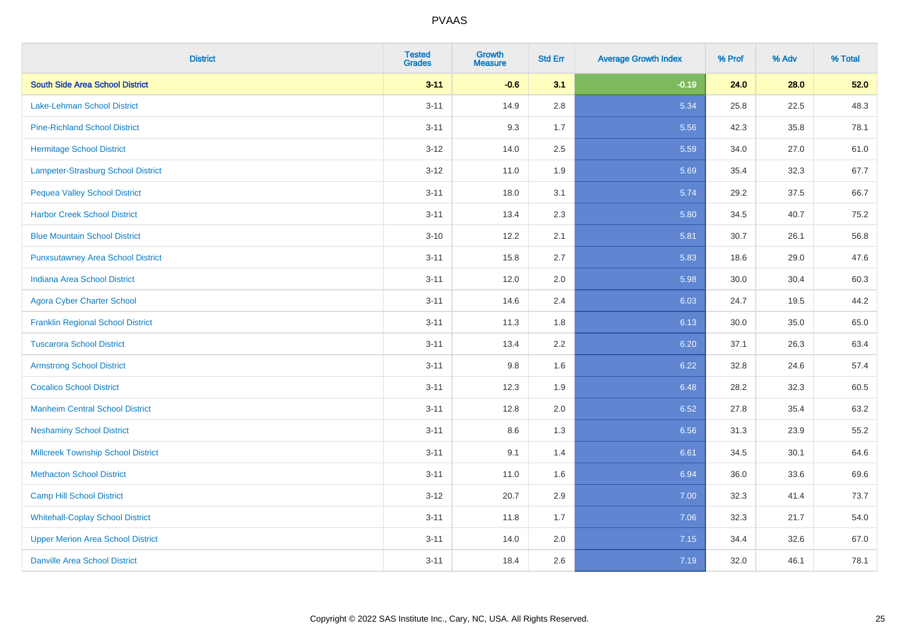| <b>District</b>                           | <b>Tested</b><br><b>Grades</b> | <b>Growth</b><br><b>Measure</b> | <b>Std Err</b> | <b>Average Growth Index</b> | % Prof | % Adv | % Total |
|-------------------------------------------|--------------------------------|---------------------------------|----------------|-----------------------------|--------|-------|---------|
| <b>South Side Area School District</b>    | $3 - 11$                       | $-0.6$                          | 3.1            | $-0.19$                     | 24.0   | 28.0  | 52.0    |
| Lake-Lehman School District               | $3 - 11$                       | 14.9                            | 2.8            | 5.34                        | 25.8   | 22.5  | 48.3    |
| <b>Pine-Richland School District</b>      | $3 - 11$                       | 9.3                             | 1.7            | 5.56                        | 42.3   | 35.8  | 78.1    |
| <b>Hermitage School District</b>          | $3 - 12$                       | 14.0                            | 2.5            | 5.59                        | 34.0   | 27.0  | 61.0    |
| Lampeter-Strasburg School District        | $3 - 12$                       | 11.0                            | 1.9            | 5.69                        | 35.4   | 32.3  | 67.7    |
| <b>Pequea Valley School District</b>      | $3 - 11$                       | 18.0                            | 3.1            | 5.74                        | 29.2   | 37.5  | 66.7    |
| <b>Harbor Creek School District</b>       | $3 - 11$                       | 13.4                            | 2.3            | 5.80                        | 34.5   | 40.7  | 75.2    |
| <b>Blue Mountain School District</b>      | $3 - 10$                       | 12.2                            | 2.1            | 5.81                        | 30.7   | 26.1  | 56.8    |
| <b>Punxsutawney Area School District</b>  | $3 - 11$                       | 15.8                            | 2.7            | 5.83                        | 18.6   | 29.0  | 47.6    |
| <b>Indiana Area School District</b>       | $3 - 11$                       | 12.0                            | 2.0            | 5.98                        | 30.0   | 30.4  | 60.3    |
| <b>Agora Cyber Charter School</b>         | $3 - 11$                       | 14.6                            | 2.4            | 6.03                        | 24.7   | 19.5  | 44.2    |
| <b>Franklin Regional School District</b>  | $3 - 11$                       | 11.3                            | 1.8            | 6.13                        | 30.0   | 35.0  | 65.0    |
| <b>Tuscarora School District</b>          | $3 - 11$                       | 13.4                            | 2.2            | 6.20                        | 37.1   | 26.3  | 63.4    |
| <b>Armstrong School District</b>          | $3 - 11$                       | 9.8                             | 1.6            | 6.22                        | 32.8   | 24.6  | 57.4    |
| <b>Cocalico School District</b>           | $3 - 11$                       | 12.3                            | 1.9            | 6.48                        | 28.2   | 32.3  | 60.5    |
| <b>Manheim Central School District</b>    | $3 - 11$                       | 12.8                            | 2.0            | 6.52                        | 27.8   | 35.4  | 63.2    |
| <b>Neshaminy School District</b>          | $3 - 11$                       | 8.6                             | 1.3            | 6.56                        | 31.3   | 23.9  | 55.2    |
| <b>Millcreek Township School District</b> | $3 - 11$                       | 9.1                             | 1.4            | 6.61                        | 34.5   | 30.1  | 64.6    |
| <b>Methacton School District</b>          | $3 - 11$                       | 11.0                            | 1.6            | 6.94                        | 36.0   | 33.6  | 69.6    |
| <b>Camp Hill School District</b>          | $3 - 12$                       | 20.7                            | 2.9            | 7.00                        | 32.3   | 41.4  | 73.7    |
| <b>Whitehall-Coplay School District</b>   | $3 - 11$                       | 11.8                            | 1.7            | 7.06                        | 32.3   | 21.7  | 54.0    |
| <b>Upper Merion Area School District</b>  | $3 - 11$                       | 14.0                            | 2.0            | 7.15                        | 34.4   | 32.6  | 67.0    |
| <b>Danville Area School District</b>      | $3 - 11$                       | 18.4                            | 2.6            | 7.19                        | 32.0   | 46.1  | 78.1    |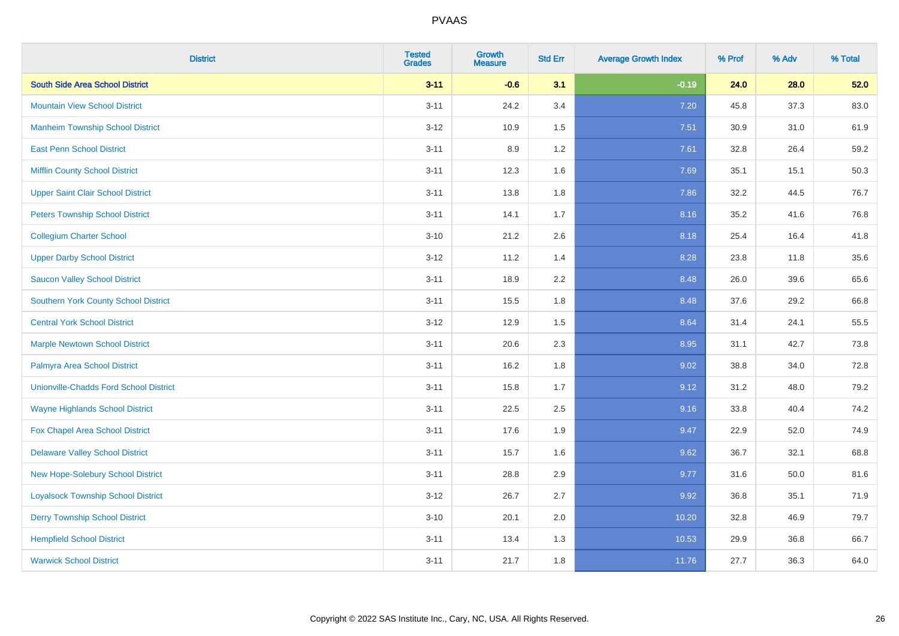| <b>District</b>                               | <b>Tested</b><br><b>Grades</b> | <b>Growth</b><br><b>Measure</b> | <b>Std Err</b> | <b>Average Growth Index</b> | % Prof | % Adv | % Total |
|-----------------------------------------------|--------------------------------|---------------------------------|----------------|-----------------------------|--------|-------|---------|
| <b>South Side Area School District</b>        | $3 - 11$                       | $-0.6$                          | 3.1            | $-0.19$                     | 24.0   | 28.0  | 52.0    |
| <b>Mountain View School District</b>          | $3 - 11$                       | 24.2                            | 3.4            | 7.20                        | 45.8   | 37.3  | 83.0    |
| <b>Manheim Township School District</b>       | $3 - 12$                       | 10.9                            | 1.5            | 7.51                        | 30.9   | 31.0  | 61.9    |
| <b>East Penn School District</b>              | $3 - 11$                       | 8.9                             | 1.2            | 7.61                        | 32.8   | 26.4  | 59.2    |
| <b>Mifflin County School District</b>         | $3 - 11$                       | 12.3                            | 1.6            | 7.69                        | 35.1   | 15.1  | 50.3    |
| <b>Upper Saint Clair School District</b>      | $3 - 11$                       | 13.8                            | 1.8            | 7.86                        | 32.2   | 44.5  | 76.7    |
| <b>Peters Township School District</b>        | $3 - 11$                       | 14.1                            | 1.7            | 8.16                        | 35.2   | 41.6  | 76.8    |
| <b>Collegium Charter School</b>               | $3 - 10$                       | 21.2                            | 2.6            | 8.18                        | 25.4   | 16.4  | 41.8    |
| <b>Upper Darby School District</b>            | $3 - 12$                       | 11.2                            | 1.4            | 8.28                        | 23.8   | 11.8  | 35.6    |
| <b>Saucon Valley School District</b>          | $3 - 11$                       | 18.9                            | 2.2            | 8.48                        | 26.0   | 39.6  | 65.6    |
| <b>Southern York County School District</b>   | $3 - 11$                       | 15.5                            | 1.8            | 8.48                        | 37.6   | 29.2  | 66.8    |
| <b>Central York School District</b>           | $3 - 12$                       | 12.9                            | 1.5            | 8.64                        | 31.4   | 24.1  | 55.5    |
| <b>Marple Newtown School District</b>         | $3 - 11$                       | 20.6                            | 2.3            | 8.95                        | 31.1   | 42.7  | 73.8    |
| Palmyra Area School District                  | $3 - 11$                       | 16.2                            | 1.8            | 9.02                        | 38.8   | 34.0  | 72.8    |
| <b>Unionville-Chadds Ford School District</b> | $3 - 11$                       | 15.8                            | 1.7            | 9.12                        | 31.2   | 48.0  | 79.2    |
| <b>Wayne Highlands School District</b>        | $3 - 11$                       | 22.5                            | 2.5            | 9.16                        | 33.8   | 40.4  | 74.2    |
| <b>Fox Chapel Area School District</b>        | $3 - 11$                       | 17.6                            | 1.9            | 9.47                        | 22.9   | 52.0  | 74.9    |
| <b>Delaware Valley School District</b>        | $3 - 11$                       | 15.7                            | 1.6            | 9.62                        | 36.7   | 32.1  | 68.8    |
| <b>New Hope-Solebury School District</b>      | $3 - 11$                       | 28.8                            | 2.9            | 9.77                        | 31.6   | 50.0  | 81.6    |
| <b>Loyalsock Township School District</b>     | $3 - 12$                       | 26.7                            | 2.7            | 9.92                        | 36.8   | 35.1  | 71.9    |
| <b>Derry Township School District</b>         | $3 - 10$                       | 20.1                            | 2.0            | 10.20                       | 32.8   | 46.9  | 79.7    |
| <b>Hempfield School District</b>              | $3 - 11$                       | 13.4                            | 1.3            | 10.53                       | 29.9   | 36.8  | 66.7    |
| <b>Warwick School District</b>                | $3 - 11$                       | 21.7                            | 1.8            | 11.76                       | 27.7   | 36.3  | 64.0    |